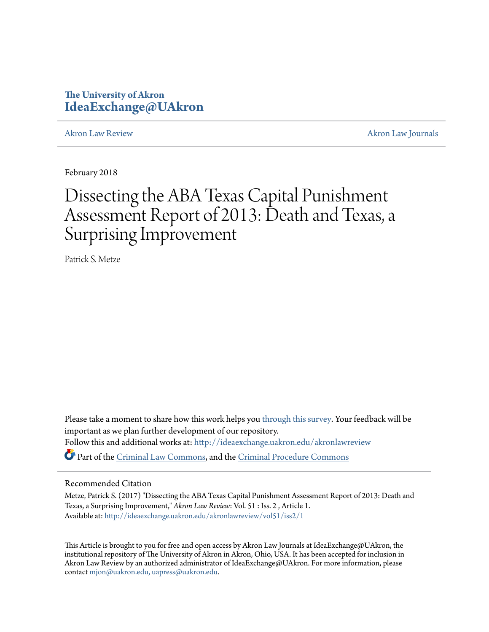# **The University of Akron [IdeaExchange@UAkron](http://ideaexchange.uakron.edu?utm_source=ideaexchange.uakron.edu%2Fakronlawreview%2Fvol51%2Fiss2%2F1&utm_medium=PDF&utm_campaign=PDFCoverPages)**

[Akron Law Review](http://ideaexchange.uakron.edu/akronlawreview?utm_source=ideaexchange.uakron.edu%2Fakronlawreview%2Fvol51%2Fiss2%2F1&utm_medium=PDF&utm_campaign=PDFCoverPages) [Akron Law Journals](http://ideaexchange.uakron.edu/akronlawjournals?utm_source=ideaexchange.uakron.edu%2Fakronlawreview%2Fvol51%2Fiss2%2F1&utm_medium=PDF&utm_campaign=PDFCoverPages)

February 2018

# Dissecting the ABA Texas Capital Punishment Assessment Report of 2013: Death and Texas, a Surprising Improvement

Patrick S. Metze

Please take a moment to share how this work helps you [through this survey.](http://survey.az1.qualtrics.com/SE/?SID=SV_eEVH54oiCbOw05f&URL=http://ideaexchange.uakron.edu/akronlawreview/vol51/iss2/1) Your feedback will be important as we plan further development of our repository. Follow this and additional works at: [http://ideaexchange.uakron.edu/akronlawreview](http://ideaexchange.uakron.edu/akronlawreview?utm_source=ideaexchange.uakron.edu%2Fakronlawreview%2Fvol51%2Fiss2%2F1&utm_medium=PDF&utm_campaign=PDFCoverPages) Part of the [Criminal Law Commons](http://network.bepress.com/hgg/discipline/912?utm_source=ideaexchange.uakron.edu%2Fakronlawreview%2Fvol51%2Fiss2%2F1&utm_medium=PDF&utm_campaign=PDFCoverPages), and the [Criminal Procedure Commons](http://network.bepress.com/hgg/discipline/1073?utm_source=ideaexchange.uakron.edu%2Fakronlawreview%2Fvol51%2Fiss2%2F1&utm_medium=PDF&utm_campaign=PDFCoverPages)

# Recommended Citation

Metze, Patrick S. (2017) "Dissecting the ABA Texas Capital Punishment Assessment Report of 2013: Death and Texas, a Surprising Improvement," *Akron Law Review*: Vol. 51 : Iss. 2 , Article 1. Available at: [http://ideaexchange.uakron.edu/akronlawreview/vol51/iss2/1](http://ideaexchange.uakron.edu/akronlawreview/vol51/iss2/1?utm_source=ideaexchange.uakron.edu%2Fakronlawreview%2Fvol51%2Fiss2%2F1&utm_medium=PDF&utm_campaign=PDFCoverPages)

This Article is brought to you for free and open access by Akron Law Journals at IdeaExchange@UAkron, the institutional repository of The University of Akron in Akron, Ohio, USA. It has been accepted for inclusion in Akron Law Review by an authorized administrator of IdeaExchange@UAkron. For more information, please contact [mjon@uakron.edu, uapress@uakron.edu.](mailto:mjon@uakron.edu,%20uapress@uakron.edu)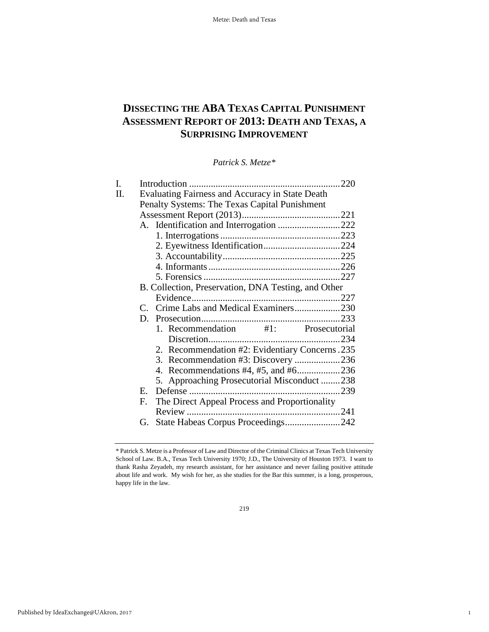# **DISSECTING THE ABA TEXAS CAPITAL PUNISHMENT ASSESSMENT REPORT OF 2013: DEATH AND TEXAS, A SURPRISING IMPROVEMENT**

*Patrick S. Metze[\\*](#page-1-0)*

| Evaluating Fairness and Accuracy in State Death |                                                                                                                                                                                                                                                                                                                                                                         |
|-------------------------------------------------|-------------------------------------------------------------------------------------------------------------------------------------------------------------------------------------------------------------------------------------------------------------------------------------------------------------------------------------------------------------------------|
| Penalty Systems: The Texas Capital Punishment   |                                                                                                                                                                                                                                                                                                                                                                         |
|                                                 |                                                                                                                                                                                                                                                                                                                                                                         |
|                                                 |                                                                                                                                                                                                                                                                                                                                                                         |
|                                                 |                                                                                                                                                                                                                                                                                                                                                                         |
|                                                 |                                                                                                                                                                                                                                                                                                                                                                         |
|                                                 |                                                                                                                                                                                                                                                                                                                                                                         |
|                                                 |                                                                                                                                                                                                                                                                                                                                                                         |
|                                                 |                                                                                                                                                                                                                                                                                                                                                                         |
|                                                 |                                                                                                                                                                                                                                                                                                                                                                         |
|                                                 |                                                                                                                                                                                                                                                                                                                                                                         |
|                                                 |                                                                                                                                                                                                                                                                                                                                                                         |
|                                                 |                                                                                                                                                                                                                                                                                                                                                                         |
|                                                 |                                                                                                                                                                                                                                                                                                                                                                         |
|                                                 |                                                                                                                                                                                                                                                                                                                                                                         |
|                                                 |                                                                                                                                                                                                                                                                                                                                                                         |
|                                                 |                                                                                                                                                                                                                                                                                                                                                                         |
|                                                 |                                                                                                                                                                                                                                                                                                                                                                         |
|                                                 |                                                                                                                                                                                                                                                                                                                                                                         |
| Е.                                              |                                                                                                                                                                                                                                                                                                                                                                         |
| F.                                              |                                                                                                                                                                                                                                                                                                                                                                         |
|                                                 |                                                                                                                                                                                                                                                                                                                                                                         |
| G.                                              |                                                                                                                                                                                                                                                                                                                                                                         |
|                                                 | A. Identification and Interrogation 222<br>B. Collection, Preservation, DNA Testing, and Other<br>C. Crime Labs and Medical Examiners230<br>1. Recommendation #1: Prosecutorial<br>2. Recommendation #2: Evidentiary Concerns. 235<br>5. Approaching Prosecutorial Misconduct238<br>The Direct Appeal Process and Proportionality<br>State Habeas Corpus Proceedings242 |

1

<span id="page-1-0"></span><sup>\*</sup> Patrick S. Metze is a Professor of Law and Director of the Criminal Clinics at Texas Tech University School of Law. B.A., Texas Tech University 1970; J.D., The University of Houston 1973. I want to thank Rasha Zeyadeh, my research assistant, for her assistance and never failing positive attitude about life and work. My wish for her, as she studies for the Bar this summer, is a long, prosperous, happy life in the law.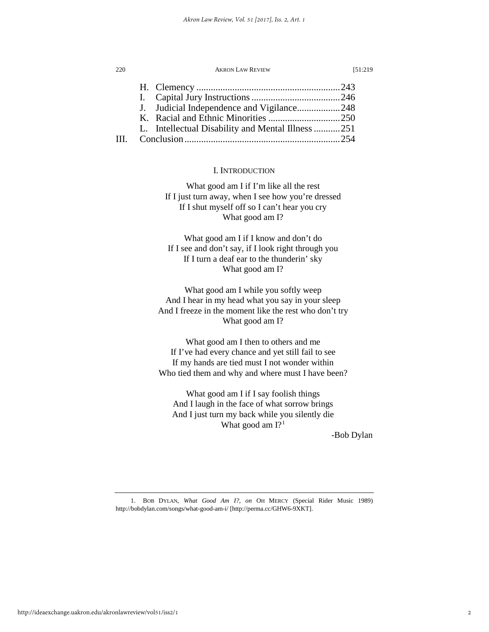| 220 | <b>AKRON LAW REVIEW</b>                           | 151:219 |
|-----|---------------------------------------------------|---------|
|     |                                                   |         |
|     |                                                   |         |
|     | J. Judicial Independence and Vigilance248         |         |
|     |                                                   |         |
|     | L. Intellectual Disability and Mental Illness 251 |         |
|     |                                                   |         |

# I. INTRODUCTION

What good am I if I'm like all the rest If I just turn away, when I see how you're dressed If I shut myself off so I can't hear you cry What good am I?

What good am I if I know and don't do If I see and don't say, if I look right through you If I turn a deaf ear to the thunderin' sky What good am I?

What good am I while you softly weep And I hear in my head what you say in your sleep And I freeze in the moment like the rest who don't try What good am I?

What good am I then to others and me If I've had every chance and yet still fail to see If my hands are tied must I not wonder within Who tied them and why and where must I have been?

What good am I if I say foolish things And I laugh in the face of what sorrow brings And I just turn my back while you silently die What good am  $I$ ?<sup>[1](#page-2-0)</sup>

-Bob Dylan

#### 2

<span id="page-2-0"></span><sup>1.</sup> BOB DYLAN, *What Good Am I?, on* OH MERCY (Special Rider Music 1989) http://bobdylan.com/songs/what-good-am-i/ [http://perma.cc/GHW6-9XKT].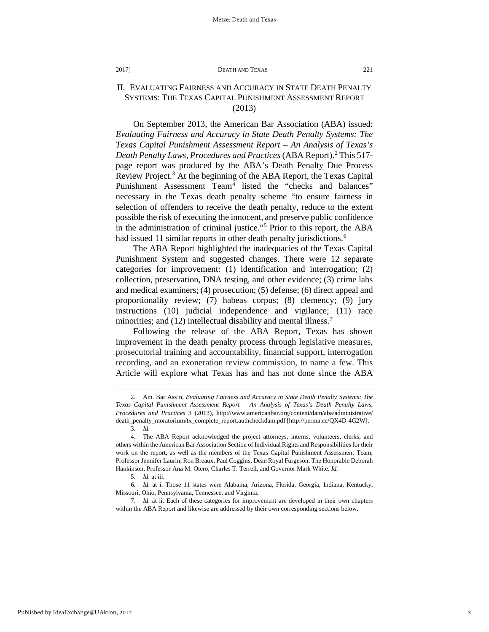# II. EVALUATING FAIRNESS AND ACCURACY IN STATE DEATH PENALTY SYSTEMS: THE TEXAS CAPITAL PUNISHMENT ASSESSMENT REPORT (2013)

On September 2013, the American Bar Association (ABA) issued: *Evaluating Fairness and Accuracy in State Death Penalty Systems: The Texas Capital Punishment Assessment Report – An Analysis of Texas's Death Penalty Laws, Procedures and Practices* (ABA Report)[.2](#page-3-0) This 517 page report was produced by the ABA's Death Penalty Due Process Review Project.<sup>[3](#page-3-1)</sup> At the beginning of the ABA Report, the Texas Capital Punishment Assessment Team<sup>[4](#page-3-2)</sup> listed the "checks and balances" necessary in the Texas death penalty scheme "to ensure fairness in selection of offenders to receive the death penalty, reduce to the extent possible the risk of executing the innocent, and preserve public confidence in the administration of criminal justice."[5](#page-3-3) Prior to this report, the ABA had issued 11 similar reports in other death penalty jurisdictions.<sup>[6](#page-3-4)</sup>

The ABA Report highlighted the inadequacies of the Texas Capital Punishment System and suggested changes. There were 12 separate categories for improvement: (1) identification and interrogation; (2) collection, preservation, DNA testing, and other evidence; (3) crime labs and medical examiners; (4) prosecution; (5) defense; (6) direct appeal and proportionality review; (7) habeas corpus; (8) clemency; (9) jury instructions (10) judicial independence and vigilance; (11) race minorities; and (12) intellectual disability and mental illness.<sup>[7](#page-3-5)</sup>

Following the release of the ABA Report, Texas has shown improvement in the death penalty process through legislative measures, prosecutorial training and accountability, financial support, interrogation recording, and an exoneration review commission, to name a few. This Article will explore what Texas has and has not done since the ABA

<span id="page-3-0"></span><sup>2.</sup> Am. Bar Ass'n, *Evaluating Fairness and Accuracy in State Death Penalty Systems: The Texas Capital Punishment Assessment Report – An Analysis of Texas's Death Penalty Laws, Procedures and Practices* 3 (2013), http://www.americanbar.org/content/dam/aba/administrative/ death\_penalty\_moratorium/tx\_complete\_report.authcheckdam.pdf [http://perma.cc/QX4D-4G2W]. 3. *Id.*

<span id="page-3-2"></span><span id="page-3-1"></span><sup>4.</sup> The ABA Report acknowledged the project attorneys, interns, volunteers, clerks, and others within the American Bar Association Section of Individual Rights and Responsibilities for their work on the report, as well as the members of the Texas Capital Punishment Assessment Team, Professor Jennifer Laurin, Ron Breaux, Paul Coggins, Dean Royal Furgeson, The Honorable Deborah Hankinson, Professor Ana M. Otero, Charles T. Terrell, and Governor Mark White. *Id.*

<sup>5.</sup> *Id.* at iii.

<span id="page-3-4"></span><span id="page-3-3"></span><sup>6.</sup> *Id.* at i. Those 11 states were Alabama, Arizona, Florida, Georgia, Indiana, Kentucky, Missouri, Ohio, Pennsylvania, Tennessee, and Virginia.

<span id="page-3-5"></span><sup>7.</sup> *Id.* at ii. Each of these categories for improvement are developed in their own chapters within the ABA Report and likewise are addressed by their own corresponding sections below.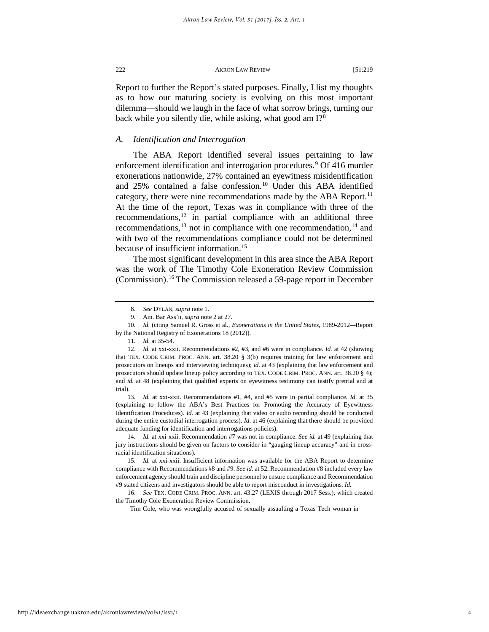Report to further the Report's stated purposes. Finally, I list my thoughts as to how our maturing society is evolving on this most important dilemma—should we laugh in the face of what sorrow brings, turning our back while you silently die, while asking, what good am I?<sup>[8](#page-4-0)</sup>

# *A. Identification and Interrogation*

The ABA Report identified several issues pertaining to law enforcement identification and interrogation procedures.<sup>[9](#page-4-1)</sup> Of 416 murder exonerations nationwide, 27% contained an eyewitness misidentification and 25% contained a false confession.<sup>[10](#page-4-2)</sup> Under this ABA identified category, there were nine recommendations made by the ABA Report.<sup>[11](#page-4-3)</sup> At the time of the report, Texas was in compliance with three of the recommendations, $^{12}$  in partial compliance with an additional three recommendations, $^{13}$  not in compliance with one recommendation, $^{14}$  $^{14}$  $^{14}$  and with two of the recommendations compliance could not be determined because of insufficient information.<sup>15</sup>

The most significant development in this area since the ABA Report was the work of The Timothy Cole Exoneration Review Commission (Commission).[16](#page-4-8) The Commission released a 59-page report in December

<span id="page-4-2"></span><span id="page-4-1"></span><span id="page-4-0"></span>10. *Id.* (citing Samuel R. Gross et al., *Exonerations in the United States*, 1989-2012*—*Report by the National Registry of Exonerations 18 (2012)).

<span id="page-4-5"></span>13. *Id.* at xxi-xxii. Recommendations #1, #4, and #5 were in partial compliance. *Id*. at 35 (explaining to follow the ABA's Best Practices for Promoting the Accuracy of Eyewitness Identification Procedures). *Id.* at 43 (explaining that video or audio recording should be conducted during the entire custodial interrogation process). *Id*. at 46 (explaining that there should be provided adequate funding for identification and interrogations policies).

<span id="page-4-6"></span>14. *Id.* at xxi-xxii. Recommendation #7 was not in compliance. *See id.* at 49 (explaining that jury instructions should be given on factors to consider in "gauging lineup accuracy" and in crossracial identification situations).

<span id="page-4-7"></span>15. *Id.* at xxi-xxii. Insufficient information was available for the ABA Report to determine compliance with Recommendations #8 and #9. *See id.* at 52. Recommendation #8 included every law enforcement agency should train and discipline personnel to ensure compliance and Recommendation #9 stated citizens and investigators should be able to report misconduct in investigations. *Id.* 

<span id="page-4-8"></span>16. *See* TEX. CODE CRIM. PROC. ANN. art. 43.27 (LEXIS through 2017 Sess.), which created the Timothy Cole Exoneration Review Commission.

Tim Cole, who was wrongfully accused of sexually assaulting a Texas Tech woman in

<sup>8.</sup> *See* DYLAN, *supra* note 1.

<sup>9.</sup> Am. Bar Ass'n, *supra* note 2 at 27.

<sup>11.</sup> *Id.* at 35-54.

<span id="page-4-4"></span><span id="page-4-3"></span><sup>12.</sup> *Id.* at xxi-xxii. Recommendations #2, #3, and #6 were in compliance. *Id.* at 42 (showing that TEX. CODE CRIM. PROC. ANN. art. 38.20 § 3(b) requires training for law enforcement and prosecutors on lineups and interviewing techniques); *id.* at 43 (explaining that law enforcement and prosecutors should update lineup policy according to TEX. CODE CRIM. PROC. ANN. art. 38.20 § 4); and *id.* at 48 (explaining that qualified experts on eyewitness testimony can testify pretrial and at trial).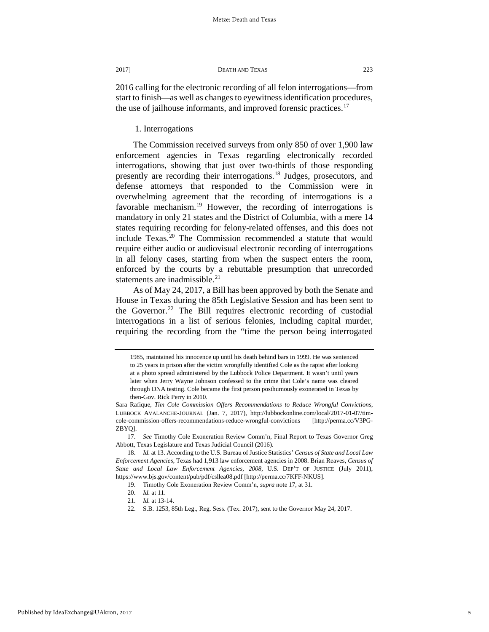2016 calling for the electronic recording of all felon interrogations—from start to finish—as well as changes to eyewitness identification procedures, the use of jailhouse informants, and improved forensic practices.<sup>[17](#page-5-0)</sup>

1. Interrogations

The Commission received surveys from only 850 of over 1,900 law enforcement agencies in Texas regarding electronically recorded interrogations, showing that just over two-thirds of those responding presently are recording their interrogations.[18](#page-5-1) Judges, prosecutors, and defense attorneys that responded to the Commission were in overwhelming agreement that the recording of interrogations is a favorable mechanism.<sup>[19](#page-5-2)</sup> However, the recording of interrogations is mandatory in only 21 states and the District of Columbia, with a mere 14 states requiring recording for felony-related offenses, and this does not include Texas.<sup>[20](#page-5-3)</sup> The Commission recommended a statute that would require either audio or audiovisual electronic recording of interrogations in all felony cases, starting from when the suspect enters the room, enforced by the courts by a rebuttable presumption that unrecorded statements are inadmissible.<sup>[21](#page-5-4)</sup>

As of May 24, 2017, a Bill has been approved by both the Senate and House in Texas during the 85th Legislative Session and has been sent to the Governor.<sup>[22](#page-5-5)</sup> The Bill requires electronic recording of custodial interrogations in a list of serious felonies, including capital murder, requiring the recording from the "time the person being interrogated

<sup>1985,</sup> maintained his innocence up until his death behind bars in 1999. He was sentenced to 25 years in prison after the victim wrongfully identified Cole as the rapist after looking at a photo spread administered by the Lubbock Police Department. It wasn't until years later when Jerry Wayne Johnson confessed to the crime that Cole's name was cleared through DNA testing. Cole became the first person posthumously exonerated in Texas by then-Gov. Rick Perry in 2010.

Sara Rafique, *Tim Cole Commission Offers Recommendations to Reduce Wrongful Convictions*, LUBBOCK AVALANCHE-JOURNAL (Jan. 7, 2017), http://lubbockonline.com/local/2017-01-07/timcole-commission-offers-recommendations-reduce-wrongful-convictions [http://perma.cc/V3PG-ZBYQ].

<span id="page-5-0"></span><sup>17.</sup> *See* Timothy Cole Exoneration Review Comm'n, Final Report to Texas Governor Greg Abbott, Texas Legislature and Texas Judicial Council (2016).

<span id="page-5-4"></span><span id="page-5-3"></span><span id="page-5-2"></span><span id="page-5-1"></span><sup>18.</sup> *Id.* at 13. According to the U.S. Bureau of Justice Statistics' *Census of State and Local Law Enforcement Agencies,* Texas had 1,913 law enforcement agencies in 2008. Brian Reaves, *Census of State and Local Law Enforcement Agencies, 2008,* U.S. DEP'T OF JUSTICE (July 2011), https://www.bjs.gov/content/pub/pdf/csllea08.pdf [http://perma.cc/7KFF-NKUS].

<sup>19.</sup> Timothy Cole Exoneration Review Comm'n, *supra* note 17*,* at 31.

<sup>20.</sup> *Id.* at 11.

<span id="page-5-5"></span><sup>21.</sup> *Id.* at 13-14.

<sup>22.</sup> S.B. 1253, 85th Leg., Reg. Sess. (Tex. 2017), sent to the Governor May 24, 2017.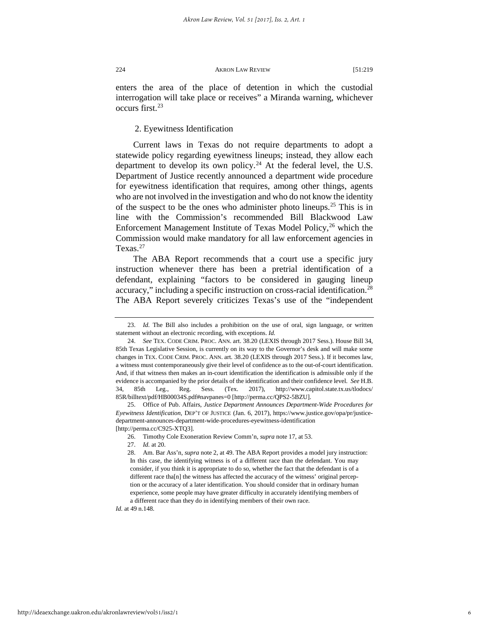enters the area of the place of detention in which the custodial interrogation will take place or receives" a Miranda warning, whichever occurs first[.23](#page-6-0)

# 2. Eyewitness Identification

Current laws in Texas do not require departments to adopt a statewide policy regarding eyewitness lineups; instead, they allow each department to develop its own policy.<sup>[24](#page-6-1)</sup> At the federal level, the U.S. Department of Justice recently announced a department wide procedure for eyewitness identification that requires, among other things, agents who are not involved in the investigation and who do not know the identity of the suspect to be the ones who administer photo lineups.[25](#page-6-2) This is in line with the Commission's recommended Bill Blackwood Law Enforcement Management Institute of Texas Model Policy,  $26$  which the Commission would make mandatory for all law enforcement agencies in Texas. $27$ 

The ABA Report recommends that a court use a specific jury instruction whenever there has been a pretrial identification of a defendant, explaining "factors to be considered in gauging lineup accuracy," including a specific instruction on cross-racial identification.<sup>[28](#page-6-5)</sup> The ABA Report severely criticizes Texas's use of the "independent

<span id="page-6-5"></span><span id="page-6-4"></span><span id="page-6-3"></span><span id="page-6-2"></span>25. Office of Pub. Affairs, *Justice Department Announces Department-Wide Procedures for Eyewitness Identification,* DEP'T OF JUSTICE (Jan. 6, 2017), https://www.justice.gov/opa/pr/justicedepartment-announces-department-wide-procedures-eyewitness-identification [http://perma.cc/C925-XTQ3].

*Id.* at 49 n.148.

<span id="page-6-0"></span><sup>23.</sup> *Id.* The Bill also includes a prohibition on the use of oral, sign language, or written statement without an electronic recording, with exceptions. *Id.*

<span id="page-6-1"></span><sup>24.</sup> *See* TEX. CODE CRIM. PROC. ANN. art. 38.20 (LEXIS through 2017 Sess.). House Bill 34, 85th Texas Legislative Session, is currently on its way to the Governor's desk and will make some changes in TEX. CODE CRIM. PROC. ANN. art. 38.20 (LEXIS through 2017 Sess.). If it becomes law, a witness must contemporaneously give their level of confidence as to the out-of-court identification. And, if that witness then makes an in-court identification the identification is admissible only if the evidence is accompanied by the prior details of the identification and their confidence level. *See* H.B. 34, 85th Leg., Reg. Sess. (Tex. 2017), http://www.capitol.state.tx.us/tlodocs/ 85R/billtext/pdf/HB00034S.pdf#navpanes=0 [http://perma.cc/QPS2-5BZU].

<sup>26.</sup> Timothy Cole Exoneration Review Comm'n*, supra* note 17, at 53.

<sup>27.</sup> *Id.* at 20.

<sup>28.</sup> Am. Bar Ass'n, *supra* note 2, at 49. The ABA Report provides a model jury instruction: In this case, the identifying witness is of a different race than the defendant. You may consider, if you think it is appropriate to do so, whether the fact that the defendant is of a different race tha[n] the witness has affected the accuracy of the witness' original perception or the accuracy of a later identification. You should consider that in ordinary human experience, some people may have greater difficulty in accurately identifying members of a different race than they do in identifying members of their own race.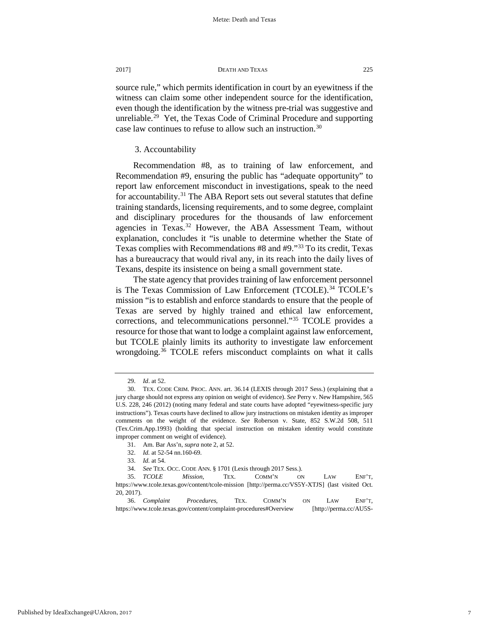source rule," which permits identification in court by an eyewitness if the witness can claim some other independent source for the identification, even though the identification by the witness pre-trial was suggestive and unreliable.<sup>[29](#page-7-0)</sup> Yet, the Texas Code of Criminal Procedure and supporting case law continues to refuse to allow such an instruction.<sup>[30](#page-7-1)</sup>

# 3. Accountability

Recommendation #8, as to training of law enforcement, and Recommendation #9, ensuring the public has "adequate opportunity" to report law enforcement misconduct in investigations, speak to the need for accountability.<sup>[31](#page-7-2)</sup> The ABA Report sets out several statutes that define training standards, licensing requirements, and to some degree, complaint and disciplinary procedures for the thousands of law enforcement agencies in Texas.<sup>[32](#page-7-3)</sup> However, the ABA Assessment Team, without explanation, concludes it "is unable to determine whether the State of Texas complies with Recommendations #8 and #9."[33](#page-7-4) To its credit, Texas has a bureaucracy that would rival any, in its reach into the daily lives of Texans, despite its insistence on being a small government state.

The state agency that provides training of law enforcement personnel is The Texas Commission of Law Enforcement (TCOLE).<sup>[34](#page-7-5)</sup> TCOLE's mission "is to establish and enforce standards to ensure that the people of Texas are served by highly trained and ethical law enforcement, corrections, and telecommunications personnel."[35](#page-7-6) TCOLE provides a resource for those that want to lodge a complaint against law enforcement, but TCOLE plainly limits its authority to investigate law enforcement wrongdoing.<sup>[36](#page-7-7)</sup> TCOLE refers misconduct complaints on what it calls

<sup>29.</sup> *Id*. at 52.

<span id="page-7-1"></span><span id="page-7-0"></span><sup>30.</sup> TEX. CODE CRIM. PROC. ANN. art. 36.14 (LEXIS through 2017 Sess.) (explaining that a jury charge should not express any opinion on weight of evidence). *See* Perry v. New Hampshire, 565 U.S. 228, 246 (2012) (noting many federal and state courts have adopted "eyewitness-specific jury instructions"). Texas courts have declined to allow jury instructions on mistaken identity as improper comments on the weight of the evidence. *See* Roberson v. State, 852 S.W.2d 508, 511 (Tex.Crim.App.1993) (holding that special instruction on mistaken identity would constitute improper comment on weight of evidence).

<sup>31.</sup> Am. Bar Ass'n, *supra* note 2, at 52.

<sup>32.</sup> *Id.* at 52-54 nn.160-69.

<sup>33.</sup> *Id.* at 54.

<sup>34.</sup> *See* TEX. OCC. CODE ANN. § 1701 (Lexis through 2017 Sess.).

<span id="page-7-6"></span><span id="page-7-5"></span><span id="page-7-4"></span><span id="page-7-3"></span><span id="page-7-2"></span><sup>35.</sup> *TCOLE Mission,* TEX. COMM'N ON LAW ENF'T, https://www.tcole.texas.gov/content/tcole-mission [http://perma.cc/VS5Y-XTJS] (last visited Oct. 20, 2017).

<span id="page-7-7"></span><sup>36.</sup> *Complaint Procedures,* TEX. COMM'N ON LAW ENF'T, https://www.tcole.texas.gov/content/complaint-procedures#Overview [http://perma.cc/AU5S-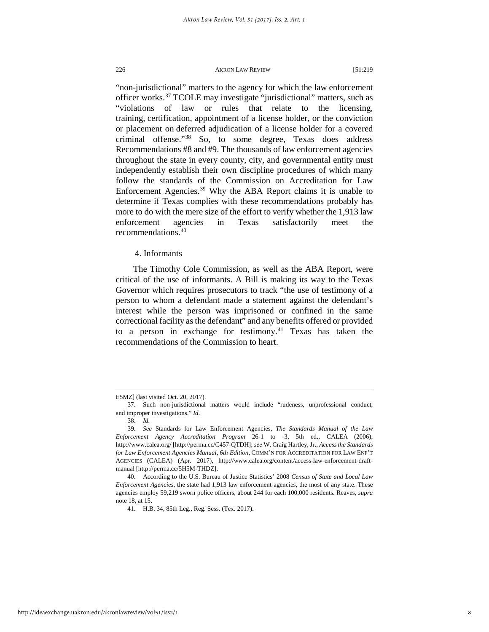"non-jurisdictional" matters to the agency for which the law enforcement officer works.[37](#page-8-0) TCOLE may investigate "jurisdictional" matters, such as "violations of law or rules that relate to the licensing, training, certification, appointment of a license holder, or the conviction or placement on deferred adjudication of a license holder for a covered criminal offense."[38](#page-8-1) So, to some degree, Texas does address Recommendations #8 and #9. The thousands of law enforcement agencies throughout the state in every county, city, and governmental entity must independently establish their own discipline procedures of which many follow the standards of the Commission on Accreditation for Law Enforcement Agencies.<sup>[39](#page-8-2)</sup> Why the ABA Report claims it is unable to determine if Texas complies with these recommendations probably has more to do with the mere size of the effort to verify whether the 1,913 law enforcement agencies in Texas satisfactorily meet the recommendations[.40](#page-8-3)

# 4. Informants

The Timothy Cole Commission, as well as the ABA Report, were critical of the use of informants. A Bill is making its way to the Texas Governor which requires prosecutors to track "the use of testimony of a person to whom a defendant made a statement against the defendant's interest while the person was imprisoned or confined in the same correctional facility as the defendant" and any benefits offered or provided to a person in exchange for testimony.<sup>[41](#page-8-4)</sup> Texas has taken the recommendations of the Commission to heart.

<span id="page-8-0"></span>E5MZ] (last visited Oct. 20, 2017).

<sup>37.</sup> Such non-jurisdictional matters would include "rudeness, unprofessional conduct, and improper investigations." *Id*.

<sup>38.</sup> *Id.*

<span id="page-8-2"></span><span id="page-8-1"></span><sup>39</sup>*. See* Standards for Law Enforcement Agencies, *The Standards Manual of the Law Enforcement Agency Accreditation Program* 26-1 to -3, 5th ed., CALEA (2006), http://www.calea.org/ [http://perma.cc/C457-QTDH]; *see* W. Craig Hartley, Jr., *Access the Standards for Law Enforcement Agencies Manual, 6th Edition,* COMM'N FOR ACCREDITATION FOR LAW ENF'T AGENCIES (CALEA) (Apr. 2017), http://www.calea.org/content/access-law-enforcement-draftmanual [http://perma.cc/5H5M-THDZ].

<span id="page-8-4"></span><span id="page-8-3"></span><sup>40.</sup> According to the U.S. Bureau of Justice Statistics' 2008 *Census of State and Local Law Enforcement Agencies,* the state had 1,913 law enforcement agencies, the most of any state. These agencies employ 59,219 sworn police officers, about 244 for each 100,000 residents. Reaves, *supra*  note 18, at 15.

<sup>41.</sup> H.B. 34, 85th Leg., Reg. Sess. (Tex. 2017).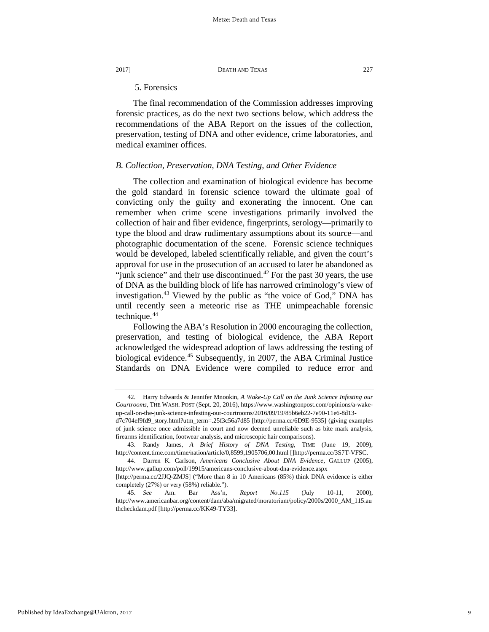# 5. Forensics

The final recommendation of the Commission addresses improving forensic practices, as do the next two sections below, which address the recommendations of the ABA Report on the issues of the collection, preservation, testing of DNA and other evidence, crime laboratories, and medical examiner offices.

# *B. Collection, Preservation, DNA Testing, and Other Evidence*

The collection and examination of biological evidence has become the gold standard in forensic science toward the ultimate goal of convicting only the guilty and exonerating the innocent. One can remember when crime scene investigations primarily involved the collection of hair and fiber evidence, fingerprints, serology—primarily to type the blood and draw rudimentary assumptions about its source—and photographic documentation of the scene. Forensic science techniques would be developed, labeled scientifically reliable, and given the court's approval for use in the prosecution of an accused to later be abandoned as "junk science" and their use discontinued. $42$  For the past 30 years, the use of DNA as the building block of life has narrowed criminology's view of investigation.[43](#page-9-1) Viewed by the public as "the voice of God," DNA has until recently seen a meteoric rise as THE unimpeachable forensic technique.<sup>[44](#page-9-2)</sup>

Following the ABA's Resolution in 2000 encouraging the collection, preservation, and testing of biological evidence, the ABA Report acknowledged the widespread adoption of laws addressing the testing of biological evidence.<sup>[45](#page-9-3)</sup> Subsequently, in 2007, the ABA Criminal Justice Standards on DNA Evidence were compiled to reduce error and

<span id="page-9-0"></span><sup>42.</sup> Harry Edwards & Jennifer Mnookin, *A Wake-Up Call on the Junk Science Infesting our Courtrooms,* THE WASH. POST (Sept. 20, 2016), https://www.washingtonpost.com/opinions/a-wakeup-call-on-the-junk-science-infesting-our-courtrooms/2016/09/19/85b6eb22-7e90-11e6-8d13 d7c704ef9fd9\_story.html?utm\_term=.25f3c56a7d85 [http://perma.cc/6D9E-9535] (giving examples of junk science once admissible in court and now deemed unreliable such as bite mark analysis, firearms identification, footwear analysis, and microscopic hair comparisons).

<span id="page-9-1"></span><sup>43.</sup> Randy James, *A Brief History of DNA Testing*, TIME (June 19, 2009), http://content.time.com/time/nation/article/0,8599,1905706,00.html []http://perma.cc/3S7T-VFSC.

<span id="page-9-2"></span><sup>44.</sup> Darren K. Carlson, *Americans Conclusive About DNA Evidence,* GALLUP (2005), http://www.gallup.com/poll/19915/americans-conclusive-about-dna-evidence.aspx

<sup>[</sup>http://perma.cc/2JJQ-ZMJS] ("More than 8 in 10 Americans (85%) think DNA evidence is either completely (27%) or very (58%) reliable.").

<span id="page-9-3"></span><sup>45.</sup> *See* Am. Bar Ass'n, *Report No.115* (July 10-11, 2000), http://www.americanbar.org/content/dam/aba/migrated/moratorium/policy/2000s/2000\_AM\_115.au thcheckdam.pdf [http://perma.cc/KK49-TY33].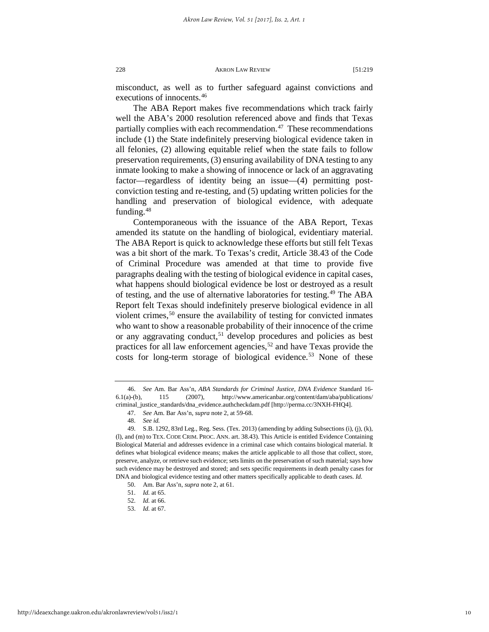misconduct, as well as to further safeguard against convictions and executions of innocents.[46](#page-10-0)

The ABA Report makes five recommendations which track fairly well the ABA's 2000 resolution referenced above and finds that Texas partially complies with each recommendation. $47$  These recommendations include (1) the State indefinitely preserving biological evidence taken in all felonies, (2) allowing equitable relief when the state fails to follow preservation requirements, (3) ensuring availability of DNA testing to any inmate looking to make a showing of innocence or lack of an aggravating factor—regardless of identity being an issue—(4) permitting postconviction testing and re-testing, and (5) updating written policies for the handling and preservation of biological evidence, with adequate funding.<sup>[48](#page-10-2)</sup>

Contemporaneous with the issuance of the ABA Report, Texas amended its statute on the handling of biological, evidentiary material. The ABA Report is quick to acknowledge these efforts but still felt Texas was a bit short of the mark. To Texas's credit, Article 38.43 of the Code of Criminal Procedure was amended at that time to provide five paragraphs dealing with the testing of biological evidence in capital cases, what happens should biological evidence be lost or destroyed as a result of testing, and the use of alternative laboratories for testing.[49](#page-10-3) The ABA Report felt Texas should indefinitely preserve biological evidence in all violent crimes,<sup>[50](#page-10-4)</sup> ensure the availability of testing for convicted inmates who want to show a reasonable probability of their innocence of the crime or any aggravating conduct,<sup>[51](#page-10-5)</sup> develop procedures and policies as best practices for all law enforcement agencies,<sup>[52](#page-10-6)</sup> and have Texas provide the costs for long-term storage of biological evidence.<sup>[53](#page-10-7)</sup> None of these

<span id="page-10-0"></span><sup>46.</sup> *See* Am. Bar Ass'n, *ABA Standards for Criminal Justice, DNA Evidence* Standard 16- 6.1(a)-(b), 115 (2007), http://www.americanbar.org/content/dam/aba/publications/ criminal\_justice\_standards/dna\_evidence.authcheckdam.pdf [http://perma.cc/3NXH-FHQ4].

<sup>47.</sup> *See* Am. Bar Ass'n, *supra* note 2, at 59-68.

<sup>48.</sup> *See id.*

<span id="page-10-3"></span><span id="page-10-2"></span><span id="page-10-1"></span><sup>49.</sup> S.B. 1292, 83rd Leg., Reg. Sess. (Tex. 2013) (amending by adding Subsections (i), (j), (k), (l), and (m) to TEX. CODE CRIM. PROC. ANN. art. 38.43). This Article is entitled Evidence Containing Biological Material and addresses evidence in a criminal case which contains biological material. It defines what biological evidence means; makes the article applicable to all those that collect, store, preserve, analyze, or retrieve such evidence; sets limits on the preservation of such material; says how such evidence may be destroyed and stored; and sets specific requirements in death penalty cases for DNA and biological evidence testing and other matters specifically applicable to death cases. *Id.*

<span id="page-10-6"></span><span id="page-10-5"></span><span id="page-10-4"></span><sup>50.</sup> Am. Bar Ass'n, *supra* note 2, at 61.

<sup>51.</sup> *Id.* at 65.

<sup>52.</sup> *Id.* at 66.

<span id="page-10-7"></span><sup>53.</sup> *Id.* at 67.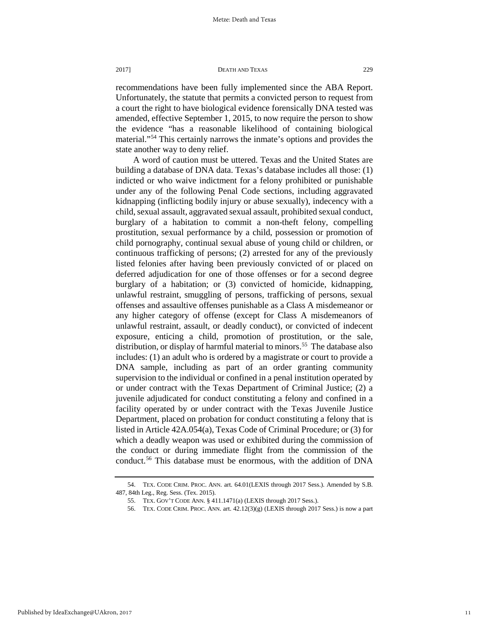recommendations have been fully implemented since the ABA Report. Unfortunately, the statute that permits a convicted person to request from a court the right to have biological evidence forensically DNA tested was amended, effective September 1, 2015, to now require the person to show the evidence "has a reasonable likelihood of containing biological material."[54](#page-11-0) This certainly narrows the inmate's options and provides the state another way to deny relief.

A word of caution must be uttered. Texas and the United States are building a database of DNA data. Texas's database includes all those: (1) indicted or who waive indictment for a felony prohibited or punishable under any of the following Penal Code sections, including aggravated kidnapping (inflicting bodily injury or abuse sexually), indecency with a child, sexual assault, aggravated sexual assault, prohibited sexual conduct, burglary of a habitation to commit a non-theft felony, compelling prostitution, sexual performance by a child, possession or promotion of child pornography, continual sexual abuse of young child or children, or continuous trafficking of persons; (2) arrested for any of the previously listed felonies after having been previously convicted of or placed on deferred adjudication for one of those offenses or for a second degree burglary of a habitation; or (3) convicted of homicide, kidnapping, unlawful restraint, smuggling of persons, trafficking of persons, sexual offenses and assaultive offenses punishable as a Class A misdemeanor or any higher category of offense (except for Class A misdemeanors of unlawful restraint, assault, or deadly conduct), or convicted of indecent exposure, enticing a child, promotion of prostitution, or the sale, distribution, or display of harmful material to minors.<sup>55</sup> The database also includes: (1) an adult who is ordered by a magistrate or court to provide a DNA sample, including as part of an order granting community supervision to the individual or confined in a penal institution operated by or under contract with the Texas Department of Criminal Justice; (2) a juvenile adjudicated for conduct constituting a felony and confined in a facility operated by or under contract with the Texas Juvenile Justice Department, placed on probation for conduct constituting a felony that is listed in Article 42A.054(a), Texas Code of Criminal Procedure; or (3) for which a deadly weapon was used or exhibited during the commission of the conduct or during immediate flight from the commission of the conduct.<sup>[56](#page-11-2)</sup> This database must be enormous, with the addition of DNA

<span id="page-11-2"></span><span id="page-11-1"></span><span id="page-11-0"></span><sup>54.</sup> TEX. CODE CRIM. PROC. ANN. art. 64.01(LEXIS through 2017 Sess.). Amended by S.B. 487, 84th Leg., Reg. Sess. (Tex. 2015).

<sup>55.</sup> TEX. GOV'T CODE ANN. § 411.1471(a) (LEXIS through 2017 Sess.).

<sup>56.</sup> TEX. CODE CRIM. PROC. ANN. art. 42.12(3)(g) (LEXIS through 2017 Sess.) is now a part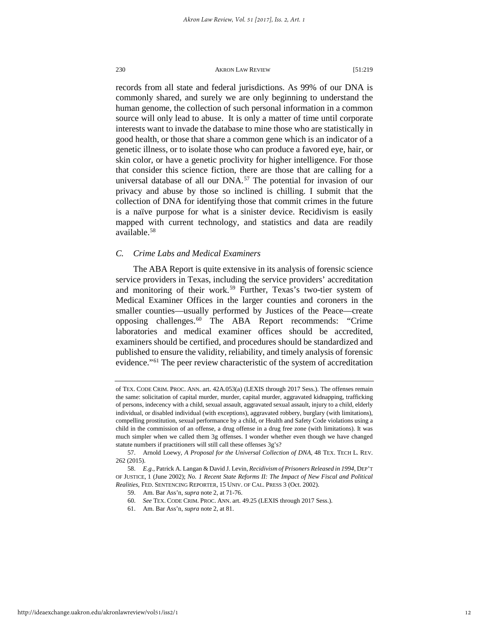records from all state and federal jurisdictions. As 99% of our DNA is commonly shared, and surely we are only beginning to understand the human genome, the collection of such personal information in a common source will only lead to abuse. It is only a matter of time until corporate interests want to invade the database to mine those who are statistically in good health, or those that share a common gene which is an indicator of a genetic illness, or to isolate those who can produce a favored eye, hair, or skin color, or have a genetic proclivity for higher intelligence. For those that consider this science fiction, there are those that are calling for a universal database of all our DNA.<sup>[57](#page-12-0)</sup> The potential for invasion of our privacy and abuse by those so inclined is chilling. I submit that the collection of DNA for identifying those that commit crimes in the future is a naïve purpose for what is a sinister device. Recidivism is easily mapped with current technology, and statistics and data are readily available.[58](#page-12-1)

# *C. Crime Labs and Medical Examiners*

The ABA Report is quite extensive in its analysis of forensic science service providers in Texas, including the service providers' accreditation and monitoring of their work.<sup>[59](#page-12-2)</sup> Further, Texas's two-tier system of Medical Examiner Offices in the larger counties and coroners in the smaller counties—usually performed by Justices of the Peace—create opposing challenges.[60](#page-12-3) The ABA Report recommends: "Crime laboratories and medical examiner offices should be accredited, examiners should be certified, and procedures should be standardized and published to ensure the validity, reliability, and timely analysis of forensic evidence."[61](#page-12-4) The peer review characteristic of the system of accreditation

of TEX. CODE CRIM. PROC. ANN. art. 42A.053(a) (LEXIS through 2017 Sess.). The offenses remain the same: solicitation of capital murder, murder, capital murder, aggravated kidnapping, trafficking of persons, indecency with a child, sexual assault, aggravated sexual assault, injury to a child, elderly individual, or disabled individual (with exceptions), aggravated robbery, burglary (with limitations), compelling prostitution, sexual performance by a child, or Health and Safety Code violations using a child in the commission of an offense, a drug offense in a drug free zone (with limitations). It was much simpler when we called them 3g offenses. I wonder whether even though we have changed statute numbers if practitioners will still call these offenses 3g's?

<span id="page-12-0"></span><sup>57.</sup> Arnold Loewy, *A Proposal for the Universal Collection of DNA,* 48 TEX. TECH L. REV. 262 (2015).

<span id="page-12-4"></span><span id="page-12-3"></span><span id="page-12-2"></span><span id="page-12-1"></span><sup>58.</sup> *E.g.,* Patrick A. Langan & David J. Levin, *Recidivism of Prisoners Released in 1994,* DEP'T OF JUSTICE, 1 (June 2002); *No. 1 Recent State Reforms II: The Impact of New Fiscal and Political Realities*, FED. SENTENCING REPORTER, 15 UNIV. OF CAL. PRESS 3 (Oct. 2002).

<sup>59.</sup> Am. Bar Ass'n, *supra* note 2, at 71-76.

<sup>60.</sup> *See* TEX. CODE CRIM. PROC. ANN. art. 49.25 (LEXIS through 2017 Sess.).

<sup>61.</sup> Am. Bar Ass'n, *supra* note 2, at 81.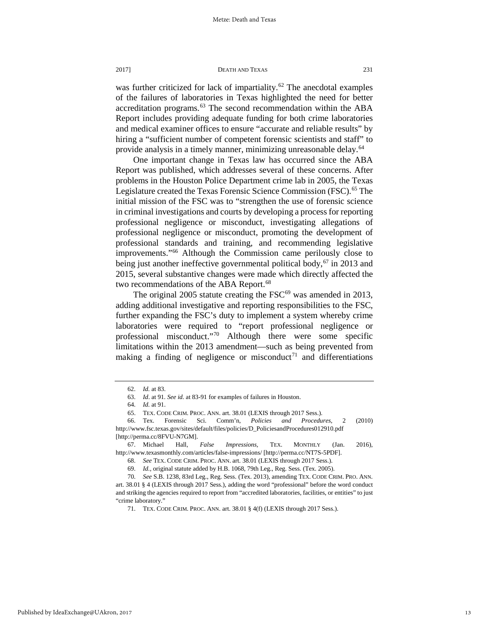was further criticized for lack of impartiality.<sup>[62](#page-13-0)</sup> The anecdotal examples of the failures of laboratories in Texas highlighted the need for better accreditation programs.<sup>[63](#page-13-1)</sup> The second recommendation within the ABA Report includes providing adequate funding for both crime laboratories and medical examiner offices to ensure "accurate and reliable results" by hiring a "sufficient number of competent forensic scientists and staff" to provide analysis in a timely manner, minimizing unreasonable delay.[64](#page-13-2)

One important change in Texas law has occurred since the ABA Report was published, which addresses several of these concerns. After problems in the Houston Police Department crime lab in 2005, the Texas Legislature created the Texas Forensic Science Commission (FSC).<sup>[65](#page-13-3)</sup> The initial mission of the FSC was to "strengthen the use of forensic science in criminal investigations and courts by developing a process for reporting professional negligence or misconduct, investigating allegations of professional negligence or misconduct, promoting the development of professional standards and training, and recommending legislative improvements."[66](#page-13-4) Although the Commission came perilously close to being just another ineffective governmental political body,  $67$  in 2013 and 2015, several substantive changes were made which directly affected the two recommendations of the ABA Report.<sup>[68](#page-13-6)</sup>

The original 2005 statute creating the  $FSC^{69}$  $FSC^{69}$  $FSC^{69}$  was amended in 2013, adding additional investigative and reporting responsibilities to the FSC, further expanding the FSC's duty to implement a system whereby crime laboratories were required to "report professional negligence or professional misconduct."[70](#page-13-8) Although there were some specific limitations within the 2013 amendment—such as being prevented from making a finding of negligence or misconduct<sup>[71](#page-13-9)</sup> and differentiations

13

<sup>62.</sup> *Id.* at 83.

<sup>63.</sup> *Id*. at 91*. See id.* at 83-91 for examples of failures in Houston.

<sup>64.</sup> *Id.* at 91.

<sup>65.</sup> TEX. CODE CRIM. PROC. ANN. art. 38.01 (LEXIS through 2017 Sess.).

<span id="page-13-4"></span><span id="page-13-3"></span><span id="page-13-2"></span><span id="page-13-1"></span><span id="page-13-0"></span><sup>66.</sup> Tex. Forensic Sci. Comm'n, *Policies and Procedures*, 2 (2010) http://www.fsc.texas.gov/sites/default/files/policies/D\_PoliciesandProcedures012910.pdf [http://perma.cc/8FVU-N7GM].

<span id="page-13-6"></span><span id="page-13-5"></span><sup>67.</sup> Michael Hall, *False Impressions,* TEX. MONTHLY (Jan. 2016), http://www.texasmonthly.com/articles/false-impressions/ [http://perma.cc/NT7S-5PDF].

<sup>68.</sup> *See* TEX. CODE CRIM. PROC. ANN. art. 38.01 (LEXIS through 2017 Sess.).

<sup>69.</sup> *Id.,* original statute added by H.B. 1068, 79th Leg., Reg. Sess. (Tex. 2005).

<span id="page-13-9"></span><span id="page-13-8"></span><span id="page-13-7"></span><sup>70.</sup> *See* S.B. 1238, 83rd Leg., Reg. Sess. (Tex. 2013), amending TEX. CODE CRIM. PRO. ANN. art. 38.01 § 4 (LEXIS through 2017 Sess.), adding the word "professional" before the word conduct and striking the agencies required to report from "accredited laboratories, facilities, or entities" to just "crime laboratory."

<sup>71.</sup> TEX. CODE CRIM. PROC. ANN. art. 38.01 § 4(f) (LEXIS through 2017 Sess.).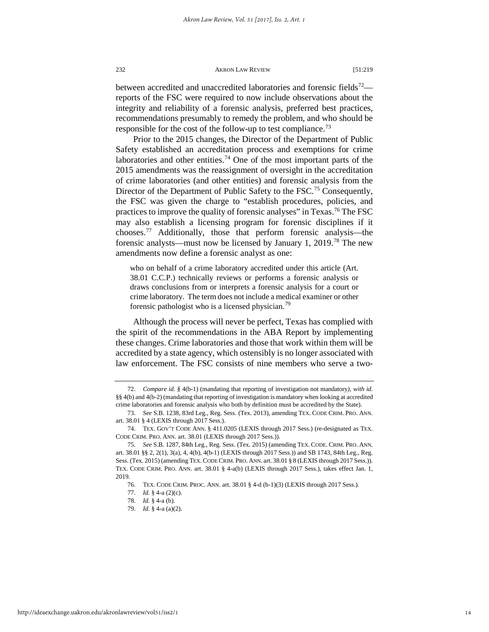between accredited and unaccredited laboratories and forensic fields<sup>72</sup> reports of the FSC were required to now include observations about the integrity and reliability of a forensic analysis, preferred best practices, recommendations presumably to remedy the problem, and who should be responsible for the cost of the follow-up to test compliance.<sup>[73](#page-14-1)</sup>

Prior to the 2015 changes, the Director of the Department of Public Safety established an accreditation process and exemptions for crime laboratories and other entities.<sup>74</sup> One of the most important parts of the 2015 amendments was the reassignment of oversight in the accreditation of crime laboratories (and other entities) and forensic analysis from the Director of the Department of Public Safety to the FSC.<sup>75</sup> Consequently, the FSC was given the charge to "establish procedures, policies, and practices to improve the quality of forensic analyses" in Texas.[76](#page-14-4) The FSC may also establish a licensing program for forensic disciplines if it chooses.[77](#page-14-5) Additionally, those that perform forensic analysis—the forensic analysts—must now be licensed by January 1, 2019.[78](#page-14-6) The new amendments now define a forensic analyst as one:

who on behalf of a crime laboratory accredited under this article (Art. 38.01 C.C.P.) technically reviews or performs a forensic analysis or draws conclusions from or interprets a forensic analysis for a court or crime laboratory. The term does not include a medical examiner or other forensic pathologist who is a licensed physician.<sup>[79](#page-14-7)</sup>

Although the process will never be perfect, Texas has complied with the spirit of the recommendations in the ABA Report by implementing these changes. Crime laboratories and those that work within them will be accredited by a state agency, which ostensibly is no longer associated with law enforcement. The FSC consists of nine members who serve a two-

<span id="page-14-0"></span><sup>72.</sup> *Compare id. §* 4(b-1) (mandating that reporting of investigation not mandatory*), with id.* §§ 4(b) and 4(b-2) (mandating that reporting of investigation is mandatory when looking at accredited crime laboratories and forensic analysis who both by definition must be accredited by the State).

<span id="page-14-1"></span><sup>73.</sup> *See* S.B. 1238, 83rd Leg., Reg. Sess. (Tex. 2013), amending TEX. CODE CRIM. PRO. ANN. art. 38.01 § 4 (LEXIS through 2017 Sess.).

<span id="page-14-2"></span><sup>74.</sup> TEX. GOV'T CODE ANN. § 411.0205 (LEXIS through 2017 Sess.) (re-designated as TEX. CODE CRIM. PRO. ANN. art. 38.01 (LEXIS through 2017 Sess.)).

<span id="page-14-5"></span><span id="page-14-4"></span><span id="page-14-3"></span><sup>75.</sup> *See* S.B. 1287, 84th Leg., Reg. Sess. (Tex. 2015) (amending TEX. CODE. CRIM. PRO. ANN. art. 38.01 §§ 2, 2(1), 3(a), 4, 4(b), 4(b-1) (LEXIS through 2017 Sess.)) and SB 1743, 84th Leg., Reg. Sess. (Tex. 2015) (amending TEX. CODE CRIM. PRO. ANN. art. 38.01 § 8 (LEXIS through 2017 Sess.)). TEX. CODE CRIM. PRO. ANN. art. 38.01 § 4-a(b) (LEXIS through 2017 Sess.), takes effect Jan. 1, 2019.

<span id="page-14-6"></span><sup>76.</sup> TEX. CODE CRIM. PROC. ANN. art. 38.01 § 4-d (b-1)(3) (LEXIS through 2017 Sess.).

<sup>77.</sup> *Id.* § 4-a (2)(c).

<span id="page-14-7"></span><sup>78.</sup> *Id.* § 4-a (b).

<sup>79.</sup> *Id.* § 4-a (a)(2).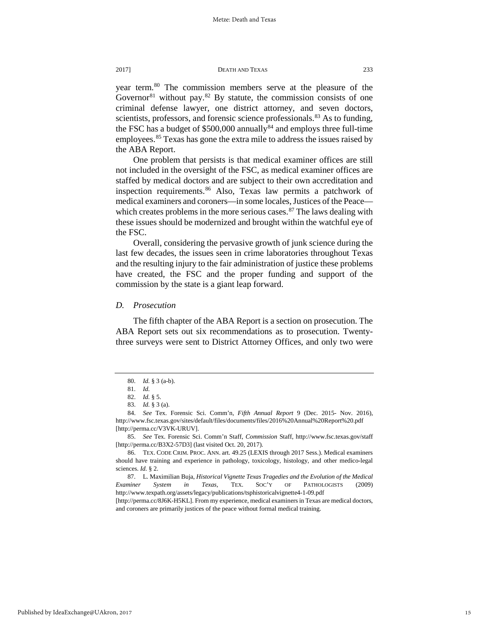year term.[80](#page-15-0) The commission members serve at the pleasure of the Governor<sup>[81](#page-15-1)</sup> without pay.<sup>[82](#page-15-2)</sup> By statute, the commission consists of one criminal defense lawyer, one district attorney, and seven doctors, scientists, professors, and forensic science professionals.<sup>[83](#page-15-3)</sup> As to funding, the FSC has a budget of  $$500,000$  annually<sup>84</sup> and employs three full-time employees.<sup>[85](#page-15-5)</sup> Texas has gone the extra mile to address the issues raised by the ABA Report.

One problem that persists is that medical examiner offices are still not included in the oversight of the FSC, as medical examiner offices are staffed by medical doctors and are subject to their own accreditation and inspection requirements.<sup>[86](#page-15-6)</sup> Also, Texas law permits a patchwork of medical examiners and coroners—in some locales, Justices of the Peace which creates problems in the more serious cases. $87$  The laws dealing with these issues should be modernized and brought within the watchful eye of the FSC.

Overall, considering the pervasive growth of junk science during the last few decades, the issues seen in crime laboratories throughout Texas and the resulting injury to the fair administration of justice these problems have created, the FSC and the proper funding and support of the commission by the state is a giant leap forward.

# *D. Prosecution*

The fifth chapter of the ABA Report is a section on prosecution. The ABA Report sets out six recommendations as to prosecution. Twentythree surveys were sent to District Attorney Offices, and only two were

<sup>80.</sup> *Id.* § 3 (a-b).

<sup>81.</sup> *Id.*

<sup>82.</sup> *Id.* § 5.

<sup>83.</sup> *Id.* § 3 (a).

<span id="page-15-4"></span><span id="page-15-3"></span><span id="page-15-2"></span><span id="page-15-1"></span><span id="page-15-0"></span><sup>84.</sup> *See* Tex. Forensic Sci. Comm'n, *Fifth Annual Report* 9 (Dec. 2015- Nov. 2016), http://www.fsc.texas.gov/sites/default/files/documents/files/2016%20Annual%20Report%20.pdf [http://perma.cc/V3VK-URUV].

<span id="page-15-5"></span><sup>85.</sup> *See* Tex. Forensic Sci. Comm'n Staff, *Commission* Staff, http://www.fsc.texas.gov/staff [http://perma.cc/B3X2-57D3] (last visited Oct. 20, 2017).

<span id="page-15-6"></span><sup>86.</sup> TEX. CODE CRIM. PROC. ANN. art. 49.25 (LEXIS through 2017 Sess.). Medical examiners should have training and experience in pathology, toxicology, histology, and other medico-legal sciences. *Id.* § 2.

<span id="page-15-7"></span><sup>87.</sup> L. Maximilian Buja, *Historical Vignette Texas Tragedies and the Evolution of the Medical Examiner System in Texas*, TEX. SOC'Y OF PATHOLOGISTS (2009) http://www.texpath.org/assets/legacy/publications/tsphistoricalvignette4-1-09.pdf

<sup>[</sup>http://perma.cc/8J6K-H5KL]. From my experience, medical examiners in Texas are medical doctors, and coroners are primarily justices of the peace without formal medical training.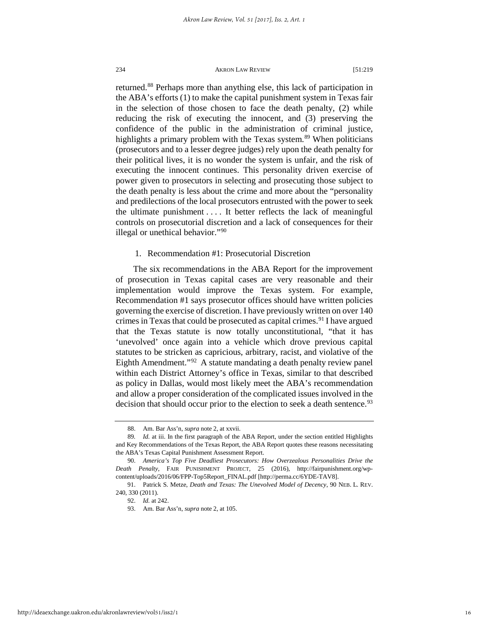returned.<sup>[88](#page-16-0)</sup> Perhaps more than anything else, this lack of participation in the ABA's efforts (1) to make the capital punishment system in Texas fair in the selection of those chosen to face the death penalty, (2) while reducing the risk of executing the innocent, and (3) preserving the confidence of the public in the administration of criminal justice, highlights a primary problem with the Texas system.<sup>[89](#page-16-1)</sup> When politicians (prosecutors and to a lesser degree judges) rely upon the death penalty for their political lives, it is no wonder the system is unfair, and the risk of executing the innocent continues. This personality driven exercise of power given to prosecutors in selecting and prosecuting those subject to the death penalty is less about the crime and more about the "personality and predilections of the local prosecutors entrusted with the power to seek the ultimate punishment . . . . It better reflects the lack of meaningful controls on prosecutorial discretion and a lack of consequences for their illegal or unethical behavior."[90](#page-16-2)

# 1. Recommendation #1: Prosecutorial Discretion

The six recommendations in the ABA Report for the improvement of prosecution in Texas capital cases are very reasonable and their implementation would improve the Texas system. For example, Recommendation #1 says prosecutor offices should have written policies governing the exercise of discretion. I have previously written on over 140 crimes in Texas that could be prosecuted as capital crimes.<sup>[91](#page-16-3)</sup> I have argued that the Texas statute is now totally unconstitutional, "that it has 'unevolved' once again into a vehicle which drove previous capital statutes to be stricken as capricious, arbitrary, racist, and violative of the Eighth Amendment."[92](#page-16-4) A statute mandating a death penalty review panel within each District Attorney's office in Texas, similar to that described as policy in Dallas, would most likely meet the ABA's recommendation and allow a proper consideration of the complicated issues involved in the decision that should occur prior to the election to seek a death sentence.<sup>[93](#page-16-5)</sup>

<sup>88.</sup> Am. Bar Ass'n, *supra* note 2, at xxvii.

<span id="page-16-1"></span><span id="page-16-0"></span><sup>89</sup>*. Id.* at iii. In the first paragraph of the ABA Report, under the section entitled Highlights and Key Recommendations of the Texas Report, the ABA Report quotes these reasons necessitating the ABA's Texas Capital Punishment Assessment Report.

<span id="page-16-2"></span><sup>90.</sup> *America's Top Five Deadliest Prosecutors: How Overzealous Personalities Drive the Death Penalty*, FAIR PUNISHMENT PROJECT, 25 (2016), http://fairpunishment.org/wpcontent/uploads/2016/06/FPP-Top5Report\_FINAL.pdf [http://perma.cc/6YDE-TAV8].

<span id="page-16-5"></span><span id="page-16-4"></span><span id="page-16-3"></span><sup>91.</sup> Patrick S. Metze, *Death and Texas: The Unevolved Model of Decency*, 90 NEB. L. REV. 240, 330 (2011).

<sup>92.</sup> *Id.* at 242.

<sup>93.</sup> Am. Bar Ass'n, *supra* note 2, at 105.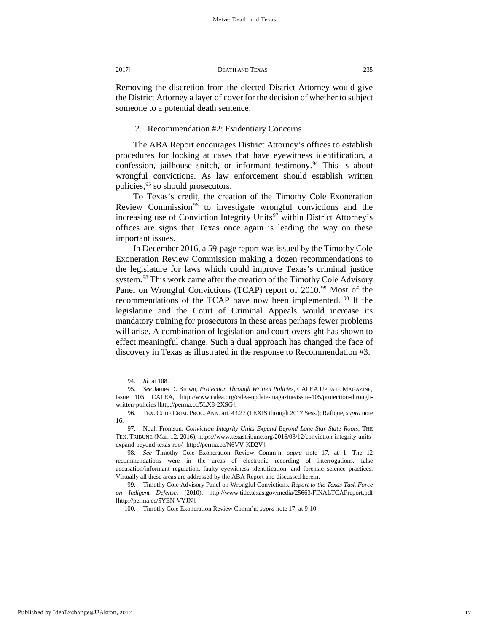Removing the discretion from the elected District Attorney would give the District Attorney a layer of cover for the decision of whether to subject someone to a potential death sentence.

# 2. Recommendation #2: Evidentiary Concerns

The ABA Report encourages District Attorney's offices to establish procedures for looking at cases that have eyewitness identification, a confession, jailhouse snitch, or informant testimony.<sup>[94](#page-17-0)</sup> This is about wrongful convictions. As law enforcement should establish written policies,<sup>95</sup> so should prosecutors.

To Texas's credit, the creation of the Timothy Cole Exoneration Review Commission<sup>[96](#page-17-2)</sup> to investigate wrongful convictions and the increasing use of Conviction Integrity Units $97$  within District Attorney's offices are signs that Texas once again is leading the way on these important issues.

In December 2016, a 59-page report was issued by the Timothy Cole Exoneration Review Commission making a dozen recommendations to the legislature for laws which could improve Texas's criminal justice system.<sup>[98](#page-17-4)</sup> This work came after the creation of the Timothy Cole Advisory Panel on Wrongful Convictions (TCAP) report of 2010.<sup>[99](#page-17-5)</sup> Most of the recommendations of the TCAP have now been implemented.<sup>[100](#page-17-6)</sup> If the legislature and the Court of Criminal Appeals would increase its mandatory training for prosecutors in these areas perhaps fewer problems will arise. A combination of legislation and court oversight has shown to effect meaningful change. Such a dual approach has changed the face of discovery in Texas as illustrated in the response to Recommendation #3.

<span id="page-17-6"></span>Published by IdeaExchange@UAkron, 2017

<sup>94.</sup> *Id.* at 108.

<span id="page-17-1"></span><span id="page-17-0"></span><sup>95.</sup> *See* James D. Brown, *Protection Through Written Policies*, CALEA UPDATE MAGAZINE, Issue 105, CALEA, http://www.calea.org/calea-update-magazine/issue-105/protection-throughwritten-policies [http://perma.cc/5LX8-2XSG].

<span id="page-17-2"></span><sup>96.</sup> TEX. CODE CRIM. PROC. ANN. art. 43.27 (LEXIS through 2017 Sess.); Rafique*, supra* note 16.

<span id="page-17-3"></span><sup>97.</sup> Noah Fromson, *Conviction Integrity Units Expand Beyond Lone Star State Roots*, THE TEX. TRIBUNE (Mar. 12, 2016), https://www.texastribune.org/2016/03/12/conviction-integrity-unitsexpand-beyond-texas-roo/ [http://perma.cc/N6VV-KD2V].

<span id="page-17-4"></span><sup>98.</sup> *See* Timothy Cole Exoneration Review Comm'n, *supra* note 17, at 1. The 12 recommendations were in the areas of electronic recording of interrogations, false accusation/informant regulation, faulty eyewitness identification, and forensic science practices. Virtually all these areas are addressed by the ABA Report and discussed herein.

<span id="page-17-5"></span><sup>99.</sup> Timothy Cole Advisory Panel on Wrongful Convictions, *Report to the Texas Task Force on Indigent Defense*, (2010), http://www.tidc.texas.gov/media/25663/FINALTCAPreport.pdf [http://perma.cc/5YEN-VYJN].

<sup>100.</sup> Timothy Cole Exoneration Review Comm'n, *supra* note 17, at 9-10.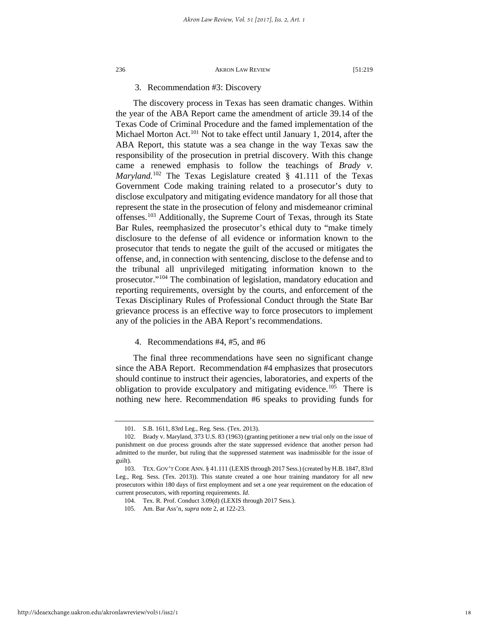# 3. Recommendation #3: Discovery

The discovery process in Texas has seen dramatic changes. Within the year of the ABA Report came the amendment of article 39.14 of the Texas Code of Criminal Procedure and the famed implementation of the Michael Morton Act.<sup>[101](#page-18-0)</sup> Not to take effect until January 1, 2014, after the ABA Report, this statute was a sea change in the way Texas saw the responsibility of the prosecution in pretrial discovery. With this change came a renewed emphasis to follow the teachings of *Brady v. Maryland.*[102](#page-18-1) The Texas Legislature created § 41.111 of the Texas Government Code making training related to a prosecutor's duty to disclose exculpatory and mitigating evidence mandatory for all those that represent the state in the prosecution of felony and misdemeanor criminal offenses.[103](#page-18-2) Additionally, the Supreme Court of Texas, through its State Bar Rules, reemphasized the prosecutor's ethical duty to "make timely disclosure to the defense of all evidence or information known to the prosecutor that tends to negate the guilt of the accused or mitigates the offense, and, in connection with sentencing, disclose to the defense and to the tribunal all unprivileged mitigating information known to the prosecutor."[104](#page-18-3) The combination of legislation, mandatory education and reporting requirements, oversight by the courts, and enforcement of the Texas Disciplinary Rules of Professional Conduct through the State Bar grievance process is an effective way to force prosecutors to implement any of the policies in the ABA Report's recommendations.

# 4. Recommendations #4, #5, and #6

The final three recommendations have seen no significant change since the ABA Report. Recommendation #4 emphasizes that prosecutors should continue to instruct their agencies, laboratories, and experts of the obligation to provide exculpatory and mitigating evidence.<sup>105</sup> There is nothing new here. Recommendation #6 speaks to providing funds for

<sup>101.</sup> S.B. 1611, 83rd Leg., Reg. Sess. (Tex. 2013).

<span id="page-18-1"></span><span id="page-18-0"></span><sup>102.</sup> Brady v. Maryland, 373 U.S. 83 (1963) (granting petitioner a new trial only on the issue of punishment on due process grounds after the state suppressed evidence that another person had admitted to the murder, but ruling that the suppressed statement was inadmissible for the issue of guilt).

<span id="page-18-4"></span><span id="page-18-3"></span><span id="page-18-2"></span><sup>103.</sup> TEX. GOV'T CODE ANN. § 41.111 (LEXIS through 2017 Sess.) (created by H.B. 1847, 83rd Leg., Reg. Sess. (Tex. 2013)). This statute created a one hour training mandatory for all new prosecutors within 180 days of first employment and set a one year requirement on the education of current prosecutors, with reporting requirements. *Id.*

<sup>104.</sup> Tex. R. Prof. Conduct 3.09(d) (LEXIS through 2017 Sess.).

<sup>105.</sup> Am. Bar Ass'n, *supra* note 2, at 122-23.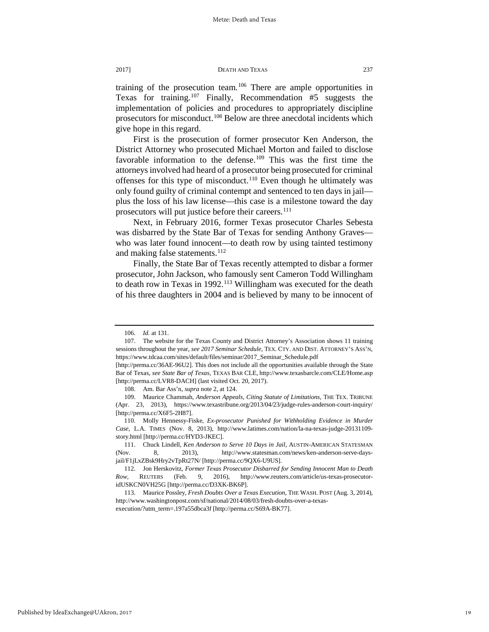training of the prosecution team.<sup>[106](#page-19-0)</sup> There are ample opportunities in Texas for training.<sup>[107](#page-19-1)</sup> Finally, Recommendation  $#5$  suggests the implementation of policies and procedures to appropriately discipline prosecutors for misconduct.<sup>[108](#page-19-2)</sup> Below are three anecdotal incidents which give hope in this regard.

First is the prosecution of former prosecutor Ken Anderson, the District Attorney who prosecuted Michael Morton and failed to disclose favorable information to the defense.<sup>[109](#page-19-3)</sup> This was the first time the attorneys involved had heard of a prosecutor being prosecuted for criminal offenses for this type of misconduct.<sup>[110](#page-19-4)</sup> Even though he ultimately was only found guilty of criminal contempt and sentenced to ten days in jail plus the loss of his law license—this case is a milestone toward the day prosecutors will put justice before their careers.<sup>[111](#page-19-5)</sup>

Next, in February 2016, former Texas prosecutor Charles Sebesta was disbarred by the State Bar of Texas for sending Anthony Graves who was later found innocent—to death row by using tainted testimony and making false statements.<sup>[112](#page-19-6)</sup>

Finally, the State Bar of Texas recently attempted to disbar a former prosecutor, John Jackson, who famously sent Cameron Todd Willingham to death row in Texas in 1992.<sup>[113](#page-19-7)</sup> Willingham was executed for the death of his three daughters in 2004 and is believed by many to be innocent of

<sup>106.</sup> *Id.* at 131.

<span id="page-19-1"></span><span id="page-19-0"></span><sup>107.</sup> The website for the Texas County and District Attorney's Association shows 11 training sessions throughout the year, *see 2017 Seminar Schedule*, TEX. CTY. AND DIST. ATTORNEY'S ASS'N, https://www.tdcaa.com/sites/default/files/seminar/2017\_Seminar\_Schedule.pdf

<sup>[</sup>http://perma.cc/36AE-96U2]. This does not include all the opportunities available through the State Bar of Texas, *see State Bar of Texas,* TEXAS BAR CLE, http://www.texasbarcle.com/CLE/Home.asp [http://perma.cc/LVR8-DACH] (last visited Oct. 20, 2017).

<sup>108.</sup> Am. Bar Ass'n, *supra* note 2, at 124.

<span id="page-19-3"></span><span id="page-19-2"></span><sup>109.</sup> Maurice Chammah, *Anderson Appeals, Citing Statute of Limitations*, THE TEX. TRIBUNE (Apr. 23, 2013), https://www.texastribune.org/2013/04/23/judge-rules-anderson-court-inquiry/ [http://perma.cc/X6F5-2H87].

<span id="page-19-4"></span><sup>110.</sup> Molly Hennessy-Fiske, *Ex-prosecutor Punished for Withholding Evidence in Murder Case*, L.A. TIMES (Nov. 8, 2013), http://www.latimes.com/nation/la-na-texas-judge-20131109 story.html [http://perma.cc/HYD3-JKEC].

<span id="page-19-5"></span><sup>111.</sup> Chuck Lindell, *Ken Anderson to Serve 10 Days in Jail*, AUSTIN-AMERICAN STATESMAN (Nov. 8, 2013), http://www.statesman.com/news/ken-anderson-serve-daysjail/F1jLxZBsk9Hry2vTpRt27N/ [http://perma.cc/9QX6-U9US].

<span id="page-19-6"></span><sup>112.</sup> Jon Herskovitz, *Former Texas Prosecutor Disbarred for Sending Innocent Man to Death Row*, REUTERS (Feb. 9, 2016), http://www.reuters.com/article/us-texas-prosecutoridUSKCN0VH25G [http://perma.cc/D3XK-BK6P].

<span id="page-19-7"></span><sup>113.</sup> Maurice Possley, *Fresh Doubts Over a Texas Execution*, THE WASH. POST (Aug. 3, 2014), http://www.washingtonpost.com/sf/national/2014/08/03/fresh-doubts-over-a-texasexecution/?utm\_term=.197a55dbca3f [http://perma.cc/S69A-BK77].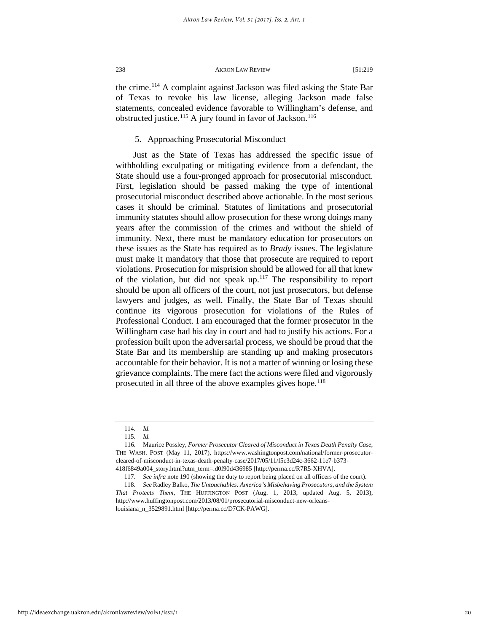the crime.[114](#page-20-0) A complaint against Jackson was filed asking the State Bar of Texas to revoke his law license, alleging Jackson made false statements, concealed evidence favorable to Willingham's defense, and obstructed justice.<sup>115</sup> A jury found in favor of Jackson.<sup>[116](#page-20-2)</sup>

# 5. Approaching Prosecutorial Misconduct

Just as the State of Texas has addressed the specific issue of withholding exculpating or mitigating evidence from a defendant, the State should use a four-pronged approach for prosecutorial misconduct. First, legislation should be passed making the type of intentional prosecutorial misconduct described above actionable. In the most serious cases it should be criminal. Statutes of limitations and prosecutorial immunity statutes should allow prosecution for these wrong doings many years after the commission of the crimes and without the shield of immunity. Next, there must be mandatory education for prosecutors on these issues as the State has required as to *Brady* issues. The legislature must make it mandatory that those that prosecute are required to report violations. Prosecution for misprision should be allowed for all that knew of the violation, but did not speak up.<sup>[117](#page-20-3)</sup> The responsibility to report should be upon all officers of the court, not just prosecutors, but defense lawyers and judges, as well. Finally, the State Bar of Texas should continue its vigorous prosecution for violations of the Rules of Professional Conduct. I am encouraged that the former prosecutor in the Willingham case had his day in court and had to justify his actions. For a profession built upon the adversarial process, we should be proud that the State Bar and its membership are standing up and making prosecutors accountable for their behavior. It is not a matter of winning or losing these grievance complaints. The mere fact the actions were filed and vigorously prosecuted in all three of the above examples gives hope.<sup>[118](#page-20-4)</sup>

<sup>114.</sup> *Id.*

<sup>115.</sup> *Id.*

<span id="page-20-2"></span><span id="page-20-1"></span><span id="page-20-0"></span><sup>116.</sup> Maurice Possley, *Former Prosecutor Cleared of Misconduct in Texas Death Penalty Case*, THE WASH. POST (May 11, 2017), https://www.washingtonpost.com/national/former-prosecutorcleared-of-misconduct-in-texas-death-penalty-case/2017/05/11/f5c3d24c-3662-11e7-b373- 418f6849a004\_story.html?utm\_term=.d0f90d436985 [http://perma.cc/R7R5-XHVA].

<sup>117.</sup> *See infra* note 190 (showing the duty to report being placed on all officers of the court).

<span id="page-20-4"></span><span id="page-20-3"></span><sup>118.</sup> *See* Radley Balko, *The Untouchables: America's Misbehaving Prosecutors, and the System That Protects Them*, THE HUFFINGTON POST (Aug. 1, 2013, updated Aug. 5, 2013), http://www.huffingtonpost.com/2013/08/01/prosecutorial-misconduct-new-orleans-

louisiana\_n\_3529891.html [http://perma.cc/D7CK-PAWG].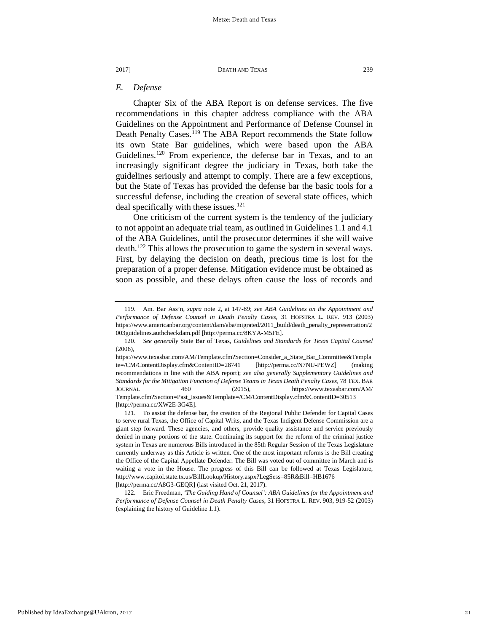# *E. Defense*

Chapter Six of the ABA Report is on defense services. The five recommendations in this chapter address compliance with the ABA Guidelines on the Appointment and Performance of Defense Counsel in Death Penalty Cases.<sup>119</sup> The ABA Report recommends the State follow its own State Bar guidelines, which were based upon the ABA Guidelines.<sup>[120](#page-21-1)</sup> From experience, the defense bar in Texas, and to an increasingly significant degree the judiciary in Texas, both take the guidelines seriously and attempt to comply. There are a few exceptions, but the State of Texas has provided the defense bar the basic tools for a successful defense, including the creation of several state offices, which deal specifically with these issues.<sup>[121](#page-21-2)</sup>

One criticism of the current system is the tendency of the judiciary to not appoint an adequate trial team, as outlined in Guidelines 1.1 and 4.1 of the ABA Guidelines, until the prosecutor determines if she will waive death.[122](#page-21-3) This allows the prosecution to game the system in several ways. First, by delaying the decision on death, precious time is lost for the preparation of a proper defense. Mitigation evidence must be obtained as soon as possible, and these delays often cause the loss of records and

<span id="page-21-0"></span><sup>119.</sup> Am. Bar Ass'n*, supra* note 2, at 147-89; *see ABA Guidelines on the Appointment and Performance of Defense Counsel in Death Penalty Cases*, 31 HOFSTRA L. REV. 913 (2003) https://www.americanbar.org/content/dam/aba/migrated/2011\_build/death\_penalty\_representation/2 003guidelines.authcheckdam.pdf [http://perma.cc/8KYA-M5FE].

<span id="page-21-1"></span><sup>120.</sup> *See generally* State Bar of Texas, *Guidelines and Standards for Texas Capital Counsel* (2006),

https://www.texasbar.com/AM/Template.cfm?Section=Consider\_a\_State\_Bar\_Committee&Templa te=/CM/ContentDisplay.cfm&ContentID=28741 [http://perma.cc/N7NU-PEWZ] (making recommendations in line with the ABA report); *see also generally Supplementary Guidelines and Standards for the Mitigation Function of Defense Teams in Texas Death Penalty Cases,* 78 TEX. BAR JOURNAL 460 (2015), https://www.texasbar.com/AM/ Template.cfm?Section=Past\_Issues&Template=/CM/ContentDisplay.cfm&ContentID=30513 [http://perma.cc/XW2E-3G4E].

<span id="page-21-2"></span><sup>121.</sup> To assist the defense bar, the creation of the Regional Public Defender for Capital Cases to serve rural Texas, the Office of Capital Writs, and the Texas Indigent Defense Commission are a giant step forward. These agencies, and others, provide quality assistance and service previously denied in many portions of the state. Continuing its support for the reform of the criminal justice system in Texas are numerous Bills introduced in the 85th Regular Session of the Texas Legislature currently underway as this Article is written. One of the most important reforms is the Bill creating the Office of the Capital Appellate Defender. The Bill was voted out of committee in March and is waiting a vote in the House. The progress of this Bill can be followed at Texas Legislature, http://www.capitol.state.tx.us/BillLookup/History.aspx?LegSess=85R&Bill=HB1676 [http://perma.cc/A8G3-GEQR] (last visited Oct. 21, 2017).

<span id="page-21-3"></span><sup>122.</sup> Eric Freedman, *'The Guiding Hand of Counsel': ABA Guidelines for the Appointment and Performance of Defense Counsel in Death Penalty Cases,* 31 HOFSTRA L. REV. 903, 919-52 (2003) (explaining the history of Guideline 1.1).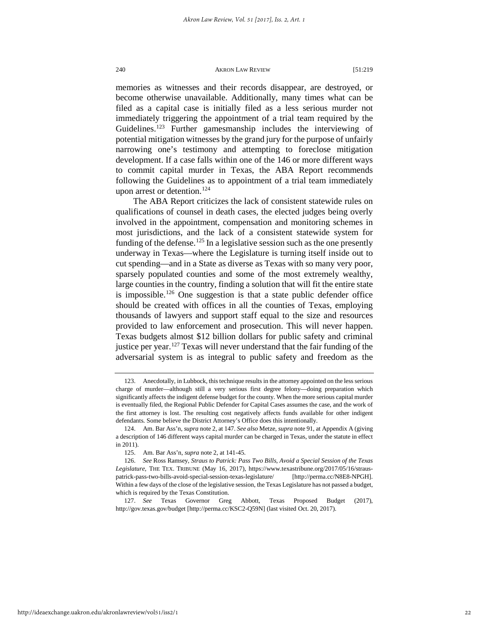memories as witnesses and their records disappear, are destroyed, or become otherwise unavailable. Additionally, many times what can be filed as a capital case is initially filed as a less serious murder not immediately triggering the appointment of a trial team required by the Guidelines.<sup>[123](#page-22-0)</sup> Further gamesmanship includes the interviewing of potential mitigation witnesses by the grand jury for the purpose of unfairly narrowing one's testimony and attempting to foreclose mitigation development. If a case falls within one of the 146 or more different ways to commit capital murder in Texas, the ABA Report recommends following the Guidelines as to appointment of a trial team immediately upon arrest or detention.<sup>[124](#page-22-1)</sup>

The ABA Report criticizes the lack of consistent statewide rules on qualifications of counsel in death cases, the elected judges being overly involved in the appointment, compensation and monitoring schemes in most jurisdictions, and the lack of a consistent statewide system for funding of the defense.<sup>[125](#page-22-2)</sup> In a legislative session such as the one presently underway in Texas—where the Legislature is turning itself inside out to cut spending—and in a State as diverse as Texas with so many very poor, sparsely populated counties and some of the most extremely wealthy, large counties in the country, finding a solution that will fit the entire state is impossible.<sup>[126](#page-22-3)</sup> One suggestion is that a state public defender office should be created with offices in all the counties of Texas, employing thousands of lawyers and support staff equal to the size and resources provided to law enforcement and prosecution. This will never happen. Texas budgets almost \$12 billion dollars for public safety and criminal justice per year.<sup>[127](#page-22-4)</sup> Texas will never understand that the fair funding of the adversarial system is as integral to public safety and freedom as the

<span id="page-22-4"></span>127. *See* Texas Governor Greg Abbott, Texas Proposed Budget (2017), http://gov.texas.gov/budget [http://perma.cc/KSC2-Q59N] (last visited Oct. 20, 2017).

<span id="page-22-0"></span><sup>123.</sup> Anecdotally, in Lubbock, this technique results in the attorney appointed on the less serious charge of murder—although still a very serious first degree felony—doing preparation which significantly affects the indigent defense budget for the county. When the more serious capital murder is eventually filed, the Regional Public Defender for Capital Cases assumes the case, and the work of the first attorney is lost. The resulting cost negatively affects funds available for other indigent defendants. Some believe the District Attorney's Office does this intentionally.

<span id="page-22-1"></span><sup>124.</sup> Am. Bar Ass'n, *supra* note 2, at 147. *See also* Metze, *supra* note 91, at Appendix A (giving a description of 146 different ways capital murder can be charged in Texas, under the statute in effect in 2011).

<sup>125.</sup> Am. Bar Ass'n, *supra* note 2, at 141-45.

<span id="page-22-3"></span><span id="page-22-2"></span><sup>126.</sup> *See* Ross Ramsey, *Straus to Patrick: Pass Two Bills, Avoid a Special Session of the Texas Legislature,* THE TEX. TRIBUNE (May 16, 2017), https://www.texastribune.org/2017/05/16/strauspatrick-pass-two-bills-avoid-special-session-texas-legislature/ [http://perma.cc/N8E8-NPGH]. Within a few days of the close of the legislative session, the Texas Legislature has not passed a budget, which is required by the Texas Constitution.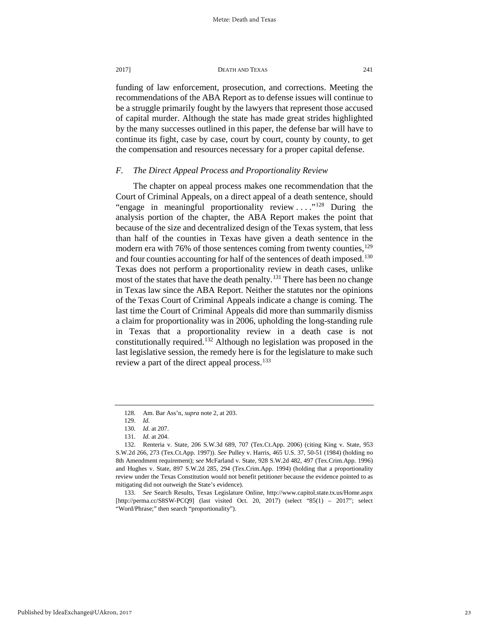funding of law enforcement, prosecution, and corrections. Meeting the recommendations of the ABA Report as to defense issues will continue to be a struggle primarily fought by the lawyers that represent those accused of capital murder. Although the state has made great strides highlighted by the many successes outlined in this paper, the defense bar will have to continue its fight, case by case, court by court, county by county, to get the compensation and resources necessary for a proper capital defense.

# *F. The Direct Appeal Process and Proportionality Review*

The chapter on appeal process makes one recommendation that the Court of Criminal Appeals, on a direct appeal of a death sentence, should "engage in meaningful proportionality review  $\dots$ ."<sup>[128](#page-23-0)</sup> During the analysis portion of the chapter, the ABA Report makes the point that because of the size and decentralized design of the Texas system, that less than half of the counties in Texas have given a death sentence in the modern era with 76% of those sentences coming from twenty counties,<sup>129</sup> and four counties accounting for half of the sentences of death imposed.<sup>130</sup> Texas does not perform a proportionality review in death cases, unlike most of the states that have the death penalty.<sup>[131](#page-23-3)</sup> There has been no change in Texas law since the ABA Report. Neither the statutes nor the opinions of the Texas Court of Criminal Appeals indicate a change is coming. The last time the Court of Criminal Appeals did more than summarily dismiss a claim for proportionality was in 2006, upholding the long-standing rule in Texas that a proportionality review in a death case is not constitutionally required.<sup>132</sup> Although no legislation was proposed in the last legislative session, the remedy here is for the legislature to make such review a part of the direct appeal process.<sup>[133](#page-23-5)</sup>

<sup>128.</sup> Am. Bar Ass'n, *supra* note 2, at 203.

<sup>129.</sup> *Id.*

<sup>130.</sup> *Id.* at 207.

<sup>131.</sup> *Id.* at 204.

<span id="page-23-4"></span><span id="page-23-3"></span><span id="page-23-2"></span><span id="page-23-1"></span><span id="page-23-0"></span><sup>132.</sup> Renteria v. State, 206 S.W.3d 689, 707 (Tex.Ct.App. 2006) (citing King v. State, 953 S.W.2d 266, 273 (Tex.Ct.App. 1997)). *See* Pulley v. Harris, 465 U.S. 37, 50-51 (1984) (holding no 8th Amendment requirement); s*ee* McFarland v. State*,* 928 S.W.2d 482, 497 (Tex.Crim.App. 1996) and Hughes v. State, 897 S.W.2d 285, 294 (Tex.Crim.App. 1994) (holding that a proportionality review under the Texas Constitution would not benefit petitioner because the evidence pointed to as mitigating did not outweigh the State's evidence).

<span id="page-23-5"></span><sup>133.</sup> *See* Search Results, Texas Legislature Online, http://www.capitol.state.tx.us/Home.aspx [http://perma.cc/S8SW-PCQ9] (last visited Oct. 20, 2017) (select "85(1) – 2017"; select "Word/Phrase;" then search "proportionality").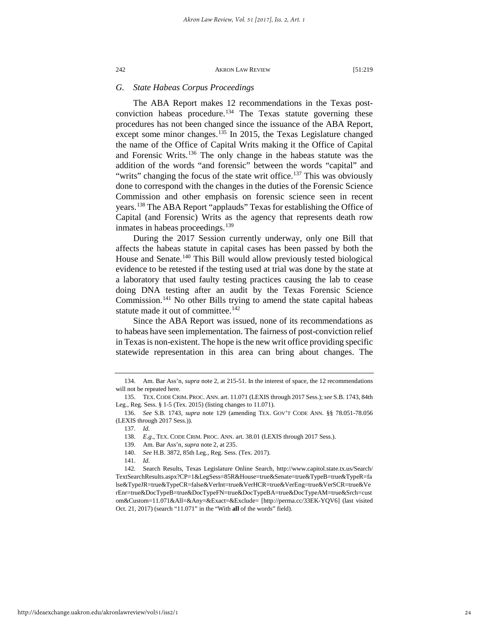# *G. State Habeas Corpus Proceedings*

The ABA Report makes 12 recommendations in the Texas postconviction habeas procedure[.134](#page-24-0) The Texas statute governing these procedures has not been changed since the issuance of the ABA Report, except some minor changes. $135$  In 2015, the Texas Legislature changed the name of the Office of Capital Writs making it the Office of Capital and Forensic Writs.[136](#page-24-2) The only change in the habeas statute was the addition of the words "and forensic" between the words "capital" and "writs" changing the focus of the state writ office.<sup>137</sup> This was obviously done to correspond with the changes in the duties of the Forensic Science Commission and other emphasis on forensic science seen in recent years[.138](#page-24-4) The ABA Report "applauds" Texas for establishing the Office of Capital (and Forensic) Writs as the agency that represents death row inmates in habeas proceedings.<sup>[139](#page-24-5)</sup>

During the 2017 Session currently underway, only one Bill that affects the habeas statute in capital cases has been passed by both the House and Senate.<sup>[140](#page-24-6)</sup> This Bill would allow previously tested biological evidence to be retested if the testing used at trial was done by the state at a laboratory that used faulty testing practices causing the lab to cease doing DNA testing after an audit by the Texas Forensic Science Commission.[141](#page-24-7) No other Bills trying to amend the state capital habeas statute made it out of committee.<sup>[142](#page-24-8)</sup>

Since the ABA Report was issued, none of its recommendations as to habeas have seen implementation. The fairness of post-conviction relief in Texas is non-existent. The hope is the new writ office providing specific statewide representation in this area can bring about changes. The

<span id="page-24-0"></span><sup>134.</sup> Am. Bar Ass'n, *supra* note 2, at 215-51. In the interest of space, the 12 recommendations will not be repeated here.

<span id="page-24-1"></span><sup>135.</sup> TEX. CODE CRIM. PROC. ANN. art. 11.071 (LEXIS through 2017 Sess.); *see* S.B. 1743, 84th Leg., Reg. Sess. § 1-5 (Tex. 2015) (listing changes to 11.071).

<span id="page-24-4"></span><span id="page-24-3"></span><span id="page-24-2"></span><sup>136.</sup> *See* S.B. 1743, *supra* note 129 (amending TEX. GOV'T CODE ANN. §§ 78.051-78.056 (LEXIS through 2017 Sess.)).

<sup>137.</sup> *Id.*

<sup>138.</sup> *E.g*., TEX. CODE CRIM. PROC. ANN. art. 38.01 (LEXIS through 2017 Sess.).

<sup>139.</sup> Am. Bar Ass'n, *supra* note 2, at 235.

<sup>140.</sup> *See* H.B. 3872, 85th Leg., Reg. Sess. (Tex. 2017).

<sup>141.</sup> *Id.*

<span id="page-24-8"></span><span id="page-24-7"></span><span id="page-24-6"></span><span id="page-24-5"></span><sup>142.</sup> Search Results, Texas Legislature Online Search, http://www.capitol.state.tx.us/Search/ TextSearchResults.aspx?CP=1&LegSess=85R&House=true&Senate=true&TypeB=true&TypeR=fa lse&TypeJR=true&TypeCR=false&VerInt=true&VerHCR=true&VerEng=true&VerSCR=true&Ve rEnr=true&DocTypeB=true&DocTypeFN=true&DocTypeBA=true&DocTypeAM=true&Srch=cust om&Custom=11.071&All=&Any=&Exact=&Exclude= [http://perma.cc/33EK-YQV6] (last visited Oct. 21, 2017) (search "11.071" in the "With **all** of the words" field).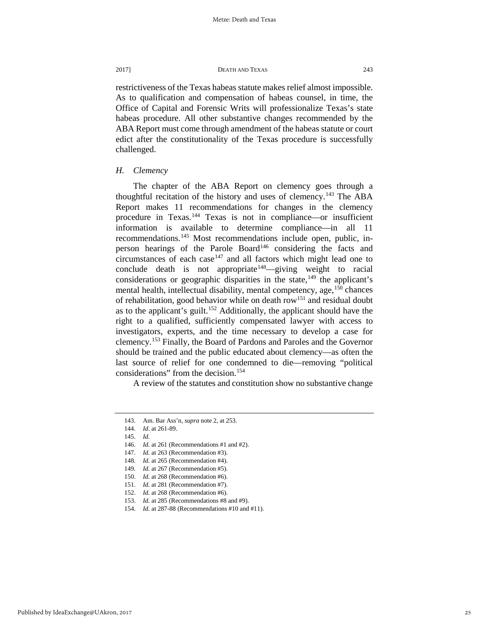restrictiveness of the Texas habeas statute makes relief almost impossible. As to qualification and compensation of habeas counsel, in time, the Office of Capital and Forensic Writs will professionalize Texas's state habeas procedure. All other substantive changes recommended by the ABA Report must come through amendment of the habeas statute or court edict after the constitutionality of the Texas procedure is successfully challenged.

# *H. Clemency*

The chapter of the ABA Report on clemency goes through a thoughtful recitation of the history and uses of clemency.<sup>[143](#page-25-0)</sup> The ABA Report makes 11 recommendations for changes in the clemency procedure in Texas. [144](#page-25-1) Texas is not in compliance—or insufficient information is available to determine compliance—in all 11 recommendations[.145](#page-25-2) Most recommendations include open, public, in-person hearings of the Parole Board<sup>[146](#page-25-3)</sup> considering the facts and circumstances of each case<sup>[147](#page-25-4)</sup> and all factors which might lead one to conclude death is not appropriate<sup>[148](#page-25-5)</sup>—giving weight to racial considerations or geographic disparities in the state, $149$  the applicant's mental health, intellectual disability, mental competency, age,  $150$  chances of rehabilitation, good behavior while on death row<sup>151</sup> and residual doubt as to the applicant's guilt.[152](#page-25-9) Additionally, the applicant should have the right to a qualified, sufficiently compensated lawyer with access to investigators, experts, and the time necessary to develop a case for clemency.[153](#page-25-10) Finally, the Board of Pardons and Paroles and the Governor should be trained and the public educated about clemency—as often the last source of relief for one condemned to die—removing "political considerations" from the decision.<sup>154</sup>

A review of the statutes and constitution show no substantive change

<span id="page-25-0"></span><sup>143.</sup> Am. Bar Ass'n, *supra* note 2, at 253.

<span id="page-25-1"></span><sup>144.</sup> *Id*. at 261-89.

<span id="page-25-2"></span><sup>145.</sup> *Id.*

<span id="page-25-3"></span><sup>146.</sup> *Id.* at 261 (Recommendations #1 and #2).

<span id="page-25-4"></span><sup>147.</sup> *Id.* at 263 (Recommendation #3).

<sup>148.</sup> *Id.* at 265 (Recommendation #4).

<span id="page-25-7"></span><span id="page-25-6"></span><span id="page-25-5"></span><sup>149.</sup> *Id.* at 267 (Recommendation #5). 150. *Id.* at 268 (Recommendation #6).

<sup>151.</sup> *Id.* at 281 (Recommendation #7).

<span id="page-25-10"></span><span id="page-25-9"></span><span id="page-25-8"></span><sup>152.</sup> *Id.* at 268 (Recommendation #6).

<sup>153.</sup> *Id.* at 285 (Recommendations #8 and #9).

<span id="page-25-11"></span><sup>154.</sup> *Id.* at 287-88 (Recommendations #10 and #11).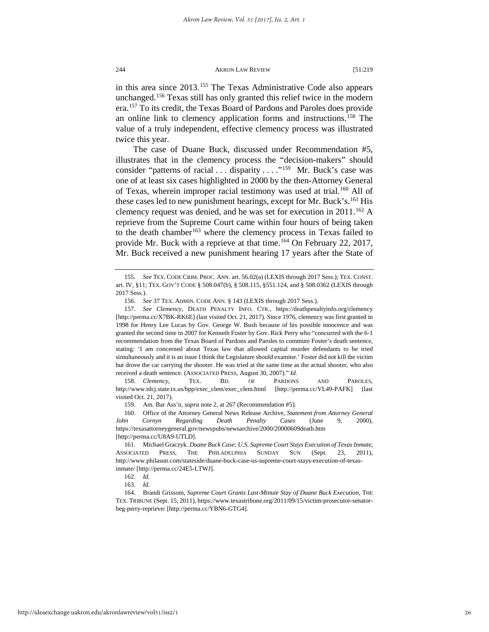in this area since 2013.[155](#page-26-0) The Texas Administrative Code also appears unchanged.[156](#page-26-1) Texas still has only granted this relief twice in the modern era.[157](#page-26-2) To its credit, the Texas Board of Pardons and Paroles does provide an online link to clemency application forms and instructions.[158](#page-26-3) The value of a truly independent, effective clemency process was illustrated twice this year.

The case of Duane Buck, discussed under Recommendation #5, illustrates that in the clemency process the "decision-makers" should consider "patterns of racial . . . disparity . . . . . "<sup>159</sup> Mr. Buck's case was one of at least six cases highlighted in 2000 by the then-Attorney General of Texas, wherein improper racial testimony was used at trial.<sup>[160](#page-26-5)</sup> All of these cases led to new punishment hearings, except for Mr. Buck's.<sup>[161](#page-26-6)</sup> His clemency request was denied, and he was set for execution in  $2011$ .<sup>[162](#page-26-7)</sup> A reprieve from the Supreme Court came within four hours of being taken to the death chamber<sup>[163](#page-26-8)</sup> where the clemency process in Texas failed to provide Mr. Buck with a reprieve at that time.<sup>[164](#page-26-9)</sup> On February 22, 2017, Mr. Buck received a new punishment hearing 17 years after the State of

<span id="page-26-3"></span>158. *Clemency*, TEX. BD. OF PARDONS AND PAROLES, http://www.tdcj.state.tx.us/bpp/exec\_clem/exec\_clem.html [http://perma.cc/VL49-PAFK] (last visited Oct. 21, 2017).

159. Am. Bar Ass'n, *supra* note 2, at 267 (Recommendation #5).

<span id="page-26-0"></span><sup>155.</sup> *See* TEX. CODE CRIM. PROC. ANN. art. 56.02(a) (LEXIS through 2017 Sess.); TEX. CONST. art. IV, §11; TEX. GOV'T CODE § 508.047(b), § 508.115, §551.124, and § 508.0362 (LEXIS through 2017 Sess.).

<sup>156.</sup> *See* 37 TEX. ADMIN. CODE ANN. § 143 (LEXIS through 2017 Sess.).

<span id="page-26-2"></span><span id="page-26-1"></span><sup>157.</sup> *See Clemency,* DEATH PENALTY INFO. CTR., https://deathpenaltyinfo.org/clemency [http://perma.cc/X7BK-RK6E] (last visited Oct. 21, 2017). Since 1976, clemency was first granted in 1998 for Henry Lee Lucas by Gov. George W. Bush because of his possible innocence and was granted the second time in 2007 for Kenneth Foster by Gov. Rick Perry who "concurred with the 6-1 recommendation from the Texas Board of Pardons and Paroles to commute Foster's death sentence, stating: 'I am concerned about Texas law that allowed capital murder defendants to be tried simultaneously and it is an issue I think the Legislature should examine.' Foster did not kill the victim but drove the car carrying the shooter. He was tried at the same time as the actual shooter, who also received a death sentence. (ASSOCIATED PRESS, August 30, 2007)." *Id.*

<span id="page-26-5"></span><span id="page-26-4"></span><sup>160.</sup> Office of the Attorney General News Release Archive, *Statement from Attorney General John Cornyn Regarding Death Penalty Cases* (June 9, 2000), https://texasattorneygeneral.gov/newspubs/newsarchive/2000/20000609death.htm [http://perma.cc/U8A9-UTLD].

<span id="page-26-6"></span><sup>161.</sup> Michael Graczyk. *Duane Buck Case: U.S. Supreme Court Stays Execution of Texas Inmate*, ASSOCIATED PRESS, THE PHILADELPHIA SUNDAY SUN (Sept. 23, 2011), http://www.philasun.com/stateside/duane-buck-case-us-supreme-court-stays-execution-of-texasinmate/ [http://perma.cc/24E5-LTWJ].

<sup>162.</sup> *Id.*

<sup>163.</sup> *Id.*

<span id="page-26-9"></span><span id="page-26-8"></span><span id="page-26-7"></span><sup>164.</sup> Brandi Grissom, *Supreme Court Grants Last-Minute Stay of Duane Buck Execution,* THE TEX. TRIBUNE (Sept. 15, 2011), https://www.texastribune.org/2011/09/15/victim-prosecutor-senatorbeg-perry-reprieve/ [http://perma.cc/YBN6-GTG4].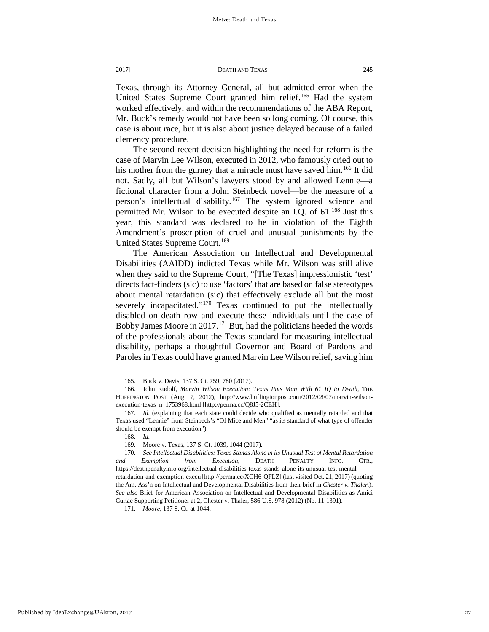Texas, through its Attorney General, all but admitted error when the United States Supreme Court granted him relief.<sup>[165](#page-27-0)</sup> Had the system worked effectively, and within the recommendations of the ABA Report, Mr. Buck's remedy would not have been so long coming. Of course, this case is about race, but it is also about justice delayed because of a failed clemency procedure.

The second recent decision highlighting the need for reform is the case of Marvin Lee Wilson, executed in 2012, who famously cried out to his mother from the gurney that a miracle must have saved him.<sup>[166](#page-27-1)</sup> It did not. Sadly, all but Wilson's lawyers stood by and allowed Lennie—a fictional character from a John Steinbeck novel—be the measure of a person's intellectual disability.[167](#page-27-2) The system ignored science and permitted Mr. Wilson to be executed despite an I.Q. of 61.<sup>168</sup> Just this year, this standard was declared to be in violation of the Eighth Amendment's proscription of cruel and unusual punishments by the United States Supreme Court.<sup>[169](#page-27-4)</sup>

The American Association on Intellectual and Developmental Disabilities (AAIDD) indicted Texas while Mr. Wilson was still alive when they said to the Supreme Court, "[The Texas] impressionistic 'test' directs fact-finders (sic) to use 'factors' that are based on false stereotypes about mental retardation (sic) that effectively exclude all but the most severely incapacitated."<sup>[170](#page-27-5)</sup> Texas continued to put the intellectually disabled on death row and execute these individuals until the case of Bobby James Moore in 2017.<sup>[171](#page-27-6)</sup> But, had the politicians heeded the words of the professionals about the Texas standard for measuring intellectual disability, perhaps a thoughtful Governor and Board of Pardons and Paroles in Texas could have granted Marvin Lee Wilson relief, saving him

<sup>165.</sup> Buck v. Davis, 137 S. Ct. 759, 780 (2017).

<span id="page-27-1"></span><span id="page-27-0"></span><sup>166.</sup> John Rudolf, *Marvin Wilson Execution: Texas Puts Man With 61 IQ to Death*, THE HUFFINGTON POST (Aug. 7, 2012), http://www.huffingtonpost.com/2012/08/07/marvin-wilsonexecution-texas\_n\_1753968.html [http://perma.cc/Q8J5-2CEH].

<span id="page-27-2"></span><sup>167.</sup> *Id.* (explaining that each state could decide who qualified as mentally retarded and that Texas used "Lennie" from Steinbeck's "Of Mice and Men" "as its standard of what type of offender should be exempt from execution").

<sup>168.</sup> *Id.*

<sup>169.</sup> Moore v. Texas*,* 137 S. Ct. 1039, 1044 (2017).

<span id="page-27-5"></span><span id="page-27-4"></span><span id="page-27-3"></span><sup>170.</sup> *See Intellectual Disabilities: Texas Stands Alone in its Unusual Test of Mental Retardation and Exemption from Execution,* DEATH PENALTY INFO. CTR., https://deathpenaltyinfo.org/intellectual-disabilities-texas-stands-alone-its-unusual-test-mentalretardation-and-exemption-execu [http://perma.cc/XGH6-QFLZ] (last visited Oct. 21, 2017) (quoting the Am. Ass'n on Intellectual and Developmental Disabilities from their brief in *Chester v. Thaler.*). *See also* Brief for American Association on Intellectual and Developmental Disabilities as Amici Curiae Supporting Petitioner at 2, Chester v. Thaler, 586 U.S. 978 (2012) (No. 11-1391).

<span id="page-27-6"></span><sup>171.</sup> *Moore,* 137 S. Ct. at 1044.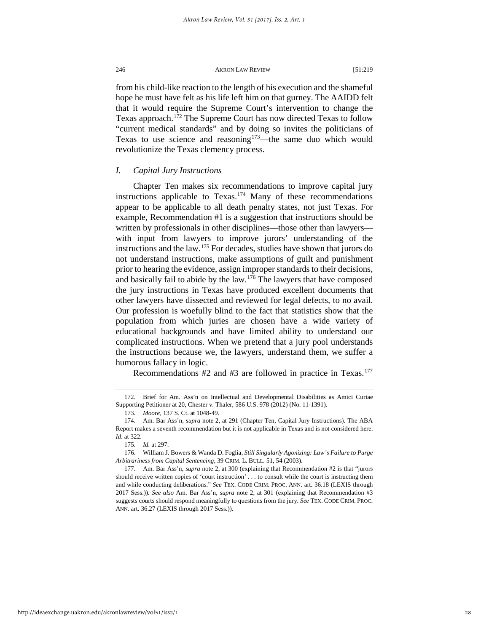from his child-like reaction to the length of his execution and the shameful hope he must have felt as his life left him on that gurney. The AAIDD felt that it would require the Supreme Court's intervention to change the Texas approach. [172](#page-28-0) The Supreme Court has now directed Texas to follow "current medical standards" and by doing so invites the politicians of Texas to use science and reasoning<sup>173</sup>—the same duo which would revolutionize the Texas clemency process.

# *I. Capital Jury Instructions*

Chapter Ten makes six recommendations to improve capital jury instructions applicable to Texas.<sup>[174](#page-28-2)</sup> Many of these recommendations appear to be applicable to all death penalty states, not just Texas. For example, Recommendation #1 is a suggestion that instructions should be written by professionals in other disciplines—those other than lawyers with input from lawyers to improve jurors' understanding of the instructions and the law. $175$  For decades, studies have shown that jurors do not understand instructions, make assumptions of guilt and punishment prior to hearing the evidence, assign improper standards to their decisions, and basically fail to abide by the law.[176](#page-28-4) The lawyers that have composed the jury instructions in Texas have produced excellent documents that other lawyers have dissected and reviewed for legal defects, to no avail. Our profession is woefully blind to the fact that statistics show that the population from which juries are chosen have a wide variety of educational backgrounds and have limited ability to understand our complicated instructions. When we pretend that a jury pool understands the instructions because we, the lawyers, understand them, we suffer a humorous fallacy in logic.

Recommendations  $#2$  and  $#3$  are followed in practice in Texas.<sup>177</sup>

<span id="page-28-0"></span><sup>172.</sup> Brief for Am. Ass'n on Intellectual and Developmental Disabilities as Amici Curiae Supporting Petitioner at 20, Chester v. Thaler, 586 U.S. 978 (2012) (No. 11-1391).

<sup>173.</sup> *Moore*, 137 S. Ct. at 1048-49.

<span id="page-28-2"></span><span id="page-28-1"></span><sup>174.</sup> Am. Bar Ass'n, *supra* note 2, at 291 (Chapter Ten, Capital Jury Instructions). The ABA Report makes a seventh recommendation but it is not applicable in Texas and is not considered here. *Id*. at 322.

<sup>175.</sup> *Id.* at 297.

<span id="page-28-4"></span><span id="page-28-3"></span><sup>176.</sup> William J. Bowers & Wanda D. Foglia, *Still Singularly Agonizing: Law's Failure to Purge Arbitrariness from Capital Sentencing*, 39 CRIM. L. BULL. 51, 54 (2003).

<span id="page-28-5"></span><sup>177.</sup> Am. Bar Ass'n, *supra* note 2, at 300 (explaining that Recommendation #2 is that "jurors should receive written copies of 'court instruction' . . . to consult while the court is instructing them and while conducting deliberations." *See* TEX. CODE CRIM. PROC. ANN. art. 36.18 (LEXIS through 2017 Sess.)). *See also* Am. Bar Ass'n, *supra* note 2, at 301 (explaining that Recommendation #3 suggests courts should respond meaningfully to questions from the jury. *See* TEX. CODE CRIM. PROC. ANN. art. 36.27 (LEXIS through 2017 Sess.)).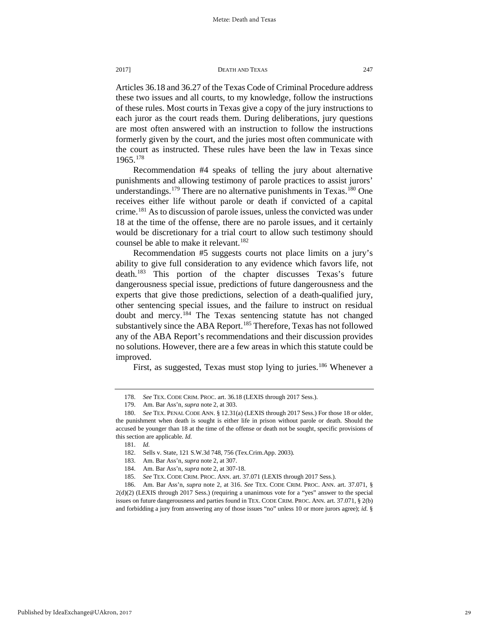Articles 36.18 and 36.27 of the Texas Code of Criminal Procedure address these two issues and all courts, to my knowledge, follow the instructions of these rules. Most courts in Texas give a copy of the jury instructions to each juror as the court reads them. During deliberations, jury questions are most often answered with an instruction to follow the instructions formerly given by the court, and the juries most often communicate with the court as instructed. These rules have been the law in Texas since 1965.[178](#page-29-0)

Recommendation #4 speaks of telling the jury about alternative punishments and allowing testimony of parole practices to assist jurors' understandings.<sup>[179](#page-29-1)</sup> There are no alternative punishments in Texas.<sup>180</sup> One receives either life without parole or death if convicted of a capital crime.[181](#page-29-3) As to discussion of parole issues, unless the convicted was under 18 at the time of the offense, there are no parole issues, and it certainly would be discretionary for a trial court to allow such testimony should counsel be able to make it relevant.<sup>[182](#page-29-4)</sup>

Recommendation #5 suggests courts not place limits on a jury's ability to give full consideration to any evidence which favors life, not death.[183](#page-29-5) This portion of the chapter discusses Texas's future dangerousness special issue, predictions of future dangerousness and the experts that give those predictions, selection of a death-qualified jury, other sentencing special issues, and the failure to instruct on residual doubt and mercy.[184](#page-29-6) The Texas sentencing statute has not changed substantively since the ABA Report.<sup>[185](#page-29-7)</sup> Therefore, Texas has not followed any of the ABA Report's recommendations and their discussion provides no solutions. However, there are a few areas in which this statute could be improved.

First, as suggested, Texas must stop lying to juries.<sup>[186](#page-29-8)</sup> Whenever a

<sup>178.</sup> *See* TEX. CODE CRIM. PROC. art. 36.18 (LEXIS through 2017 Sess.).

<sup>179.</sup> Am. Bar Ass'n, *supra* note 2, at 303.

<span id="page-29-3"></span><span id="page-29-2"></span><span id="page-29-1"></span><span id="page-29-0"></span><sup>180.</sup> *See* TEX. PENAL CODE ANN. § 12.31(a) (LEXIS through 2017 Sess.) For those 18 or older, the punishment when death is sought is either life in prison without parole or death. Should the accused be younger than 18 at the time of the offense or death not be sought, specific provisions of this section are applicable. *Id.*

<sup>181.</sup> *Id.*

<sup>182.</sup> Sells v. State, 121 S.W.3d 748, 756 (Tex.Crim.App. 2003).

<sup>183.</sup> Am. Bar Ass'n, *supra* note 2, at 307.

<sup>184.</sup> Am. Bar Ass'n, *supra* note 2, at 307-18.

See TEX. CODE CRIM. PROC. ANN. art. 37.071 (LEXIS through 2017 Sess.).

<span id="page-29-8"></span><span id="page-29-7"></span><span id="page-29-6"></span><span id="page-29-5"></span><span id="page-29-4"></span><sup>186.</sup> Am. Bar Ass'n, *supra* note 2, at 316. *See* TEX. CODE CRIM. PROC. ANN. art. 37.071, § 2(d)(2) (LEXIS through 2017 Sess.) (requiring a unanimous vote for a "yes" answer to the special issues on future dangerousness and parties found in TEX. CODE CRIM. PROC. ANN. art. 37.071, § 2(b) and forbidding a jury from answering any of those issues "no" unless 10 or more jurors agree); *id.* §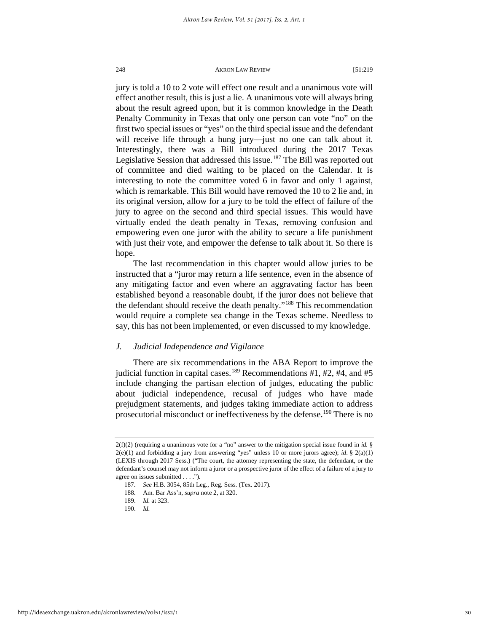jury is told a 10 to 2 vote will effect one result and a unanimous vote will effect another result, this is just a lie. A unanimous vote will always bring about the result agreed upon, but it is common knowledge in the Death Penalty Community in Texas that only one person can vote "no" on the first two special issues or "yes" on the third special issue and the defendant will receive life through a hung jury—just no one can talk about it. Interestingly, there was a Bill introduced during the 2017 Texas Legislative Session that addressed this issue.<sup>[187](#page-30-0)</sup> The Bill was reported out of committee and died waiting to be placed on the Calendar. It is interesting to note the committee voted 6 in favor and only 1 against, which is remarkable. This Bill would have removed the 10 to 2 lie and, in its original version, allow for a jury to be told the effect of failure of the jury to agree on the second and third special issues. This would have virtually ended the death penalty in Texas, removing confusion and empowering even one juror with the ability to secure a life punishment with just their vote, and empower the defense to talk about it. So there is hope.

The last recommendation in this chapter would allow juries to be instructed that a "juror may return a life sentence, even in the absence of any mitigating factor and even where an aggravating factor has been established beyond a reasonable doubt, if the juror does not believe that the defendant should receive the death penalty."[188](#page-30-1) This recommendation would require a complete sea change in the Texas scheme. Needless to say, this has not been implemented, or even discussed to my knowledge.

# *J. Judicial Independence and Vigilance*

There are six recommendations in the ABA Report to improve the judicial function in capital cases.<sup>[189](#page-30-2)</sup> Recommendations #1, #2, #4, and #5 include changing the partisan election of judges, educating the public about judicial independence, recusal of judges who have made prejudgment statements, and judges taking immediate action to address prosecutorial misconduct or ineffectiveness by the defense.<sup>[190](#page-30-3)</sup> There is no

<span id="page-30-1"></span><span id="page-30-0"></span><sup>2(</sup>f)(2) (requiring a unanimous vote for a "no" answer to the mitigation special issue found in *id.* §  $2(e)(1)$  and forbidding a jury from answering "yes" unless 10 or more jurors agree); *id*. §  $2(a)(1)$ (LEXIS through 2017 Sess.) ("The court, the attorney representing the state, the defendant, or the defendant's counsel may not inform a juror or a prospective juror of the effect of a failure of a jury to agree on issues submitted . . . .")*.* 

<sup>187.</sup> *See* H.B. 3054, 85th Leg., Reg. Sess. (Tex. 2017).

<sup>188.</sup> Am. Bar Ass'n, *supra* note 2, at 320.

<span id="page-30-2"></span><sup>189.</sup> *Id.* at 323.

<span id="page-30-3"></span><sup>190.</sup> *Id.*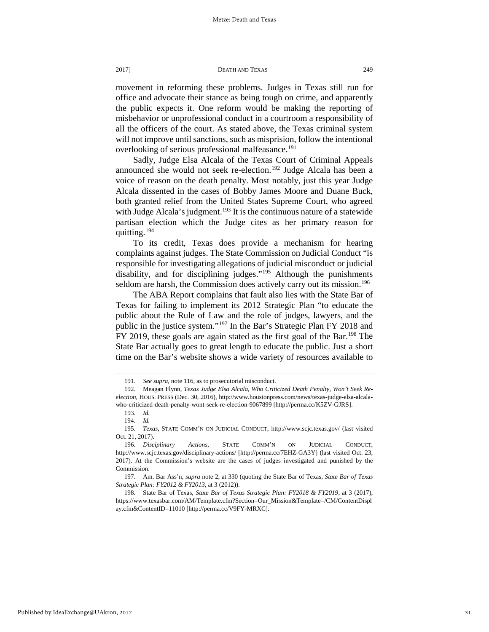movement in reforming these problems. Judges in Texas still run for office and advocate their stance as being tough on crime, and apparently the public expects it. One reform would be making the reporting of misbehavior or unprofessional conduct in a courtroom a responsibility of all the officers of the court. As stated above, the Texas criminal system will not improve until sanctions, such as misprision, follow the intentional overlooking of serious professional malfeasance.<sup>[191](#page-31-0)</sup>

Sadly, Judge Elsa Alcala of the Texas Court of Criminal Appeals announced she would not seek re-election.<sup>[192](#page-31-1)</sup> Judge Alcala has been a voice of reason on the death penalty. Most notably, just this year Judge Alcala dissented in the cases of Bobby James Moore and Duane Buck, both granted relief from the United States Supreme Court, who agreed with Judge Alcala's judgment.<sup>[193](#page-31-2)</sup> It is the continuous nature of a statewide partisan election which the Judge cites as her primary reason for quitting.[194](#page-31-3)

To its credit, Texas does provide a mechanism for hearing complaints against judges. The State Commission on Judicial Conduct "is responsible for investigating allegations of judicial misconduct or judicial disability, and for disciplining judges."<sup>[195](#page-31-4)</sup> Although the punishments seldom are harsh, the Commission does actively carry out its mission.<sup>[196](#page-31-5)</sup>

The ABA Report complains that fault also lies with the State Bar of Texas for failing to implement its 2012 Strategic Plan "to educate the public about the Rule of Law and the role of judges, lawyers, and the public in the justice system."[197](#page-31-6) In the Bar's Strategic Plan FY 2018 and FY 2019, these goals are again stated as the first goal of the Bar.[198](#page-31-7) The State Bar actually goes to great length to educate the public. Just a short time on the Bar's website shows a wide variety of resources available to

31

<sup>191.</sup> *See supra,* note 116, as to prosecutorial misconduct.

<span id="page-31-1"></span><span id="page-31-0"></span><sup>192.</sup> Meagan Flynn, *Texas Judge Elsa Alcala, Who Criticized Death Penalty, Won't Seek Reelection,* HOUS. PRESS (Dec. 30, 2016), http://www.houstonpress.com/news/texas-judge-elsa-alcalawho-criticized-death-penalty-wont-seek-re-election-9067899 [http://perma.cc/K5ZV-GJRS].

<sup>193.</sup> *Id.*

<sup>194.</sup> *Id.*

<span id="page-31-4"></span><span id="page-31-3"></span><span id="page-31-2"></span><sup>195.</sup> *Texas,* STATE COMM'N ON JUDICIAL CONDUCT, http://www.scjc.texas.gov/ (last visited Oct. 21, 2017).

<span id="page-31-5"></span><sup>196.</sup> *Disciplinary Actions,* STATE COMM'N ON JUDICIAL CONDUCT, http://www.scjc.texas.gov/disciplinary-actions/ [http://perma.cc/7EHZ-GA3Y] (last visited Oct. 23, 2017). At the Commission's website are the cases of judges investigated and punished by the Commission.

<span id="page-31-6"></span><sup>197.</sup> Am. Bar Ass'n*, supra* note 2, at 330 (quoting the State Bar of Texas, *State Bar of Texas Strategic Plan: FY2012 & FY2013*, at 3 (2012)).

<span id="page-31-7"></span><sup>198.</sup> State Bar of Texas, *State Bar of Texas Strategic Plan: FY2018 & FY2019*, at 3 (2017), https://www.texasbar.com/AM/Template.cfm?Section=Our\_Mission&Template=/CM/ContentDispl ay.cfm&ContentID=11010 [http://perma.cc/V9FY-MRXC].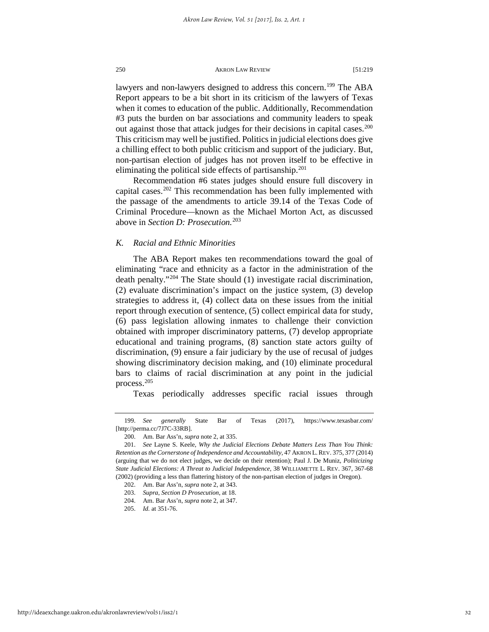lawyers and non-lawyers designed to address this concern.<sup>[199](#page-32-0)</sup> The ABA Report appears to be a bit short in its criticism of the lawyers of Texas when it comes to education of the public. Additionally, Recommendation #3 puts the burden on bar associations and community leaders to speak out against those that attack judges for their decisions in capital cases.<sup>200</sup> This criticism may well be justified. Politics in judicial elections does give a chilling effect to both public criticism and support of the judiciary. But, non-partisan election of judges has not proven itself to be effective in eliminating the political side effects of partisanship.<sup>[201](#page-32-2)</sup>

Recommendation #6 states judges should ensure full discovery in capital cases.<sup>202</sup> This recommendation has been fully implemented with the passage of the amendments to article 39.14 of the Texas Code of Criminal Procedure—known as the Michael Morton Act, as discussed above in *Section D: Prosecution.*[203](#page-32-4)

# *K. Racial and Ethnic Minorities*

The ABA Report makes ten recommendations toward the goal of eliminating "race and ethnicity as a factor in the administration of the death penalty."[204](#page-32-5) The State should (1) investigate racial discrimination, (2) evaluate discrimination's impact on the justice system, (3) develop strategies to address it, (4) collect data on these issues from the initial report through execution of sentence, (5) collect empirical data for study, (6) pass legislation allowing inmates to challenge their conviction obtained with improper discriminatory patterns, (7) develop appropriate educational and training programs, (8) sanction state actors guilty of discrimination, (9) ensure a fair judiciary by the use of recusal of judges showing discriminatory decision making, and (10) eliminate procedural bars to claims of racial discrimination at any point in the judicial process.[205](#page-32-6)

Texas periodically addresses specific racial issues through

<span id="page-32-0"></span><sup>199.</sup> *See generally* State Bar of Texas (2017), https://www.texasbar.com/ [http://perma.cc/7J7C-33RB].

<sup>200.</sup> Am. Bar Ass'n, *supra* note 2, at 335.

<span id="page-32-3"></span><span id="page-32-2"></span><span id="page-32-1"></span><sup>201.</sup> *See* Layne S. Keele, *Why the Judicial Elections Debate Matters Less Than You Think: Retention as the Cornerstone of Independence and Accountability,* 47 AKRON L. REV. 375, 377 (2014) (arguing that we do not elect judges, we decide on their retention); Paul J. De Muniz, *Politicizing State Judicial Elections: A Threat to Judicial Independence*, 38 WILLIAMETTE L. REV. 367, 367-68 (2002) (providing a less than flattering history of the non-partisan election of judges in Oregon).

<sup>202.</sup> Am. Bar Ass'n, *supra* note 2, at 343.

<span id="page-32-4"></span><sup>203.</sup> *Supra*, *Section D Prosecution*, at 18.

<span id="page-32-5"></span><sup>204.</sup> Am. Bar Ass'n, *supra* note 2, at 347.

<span id="page-32-6"></span><sup>205.</sup> *Id.* at 351-76.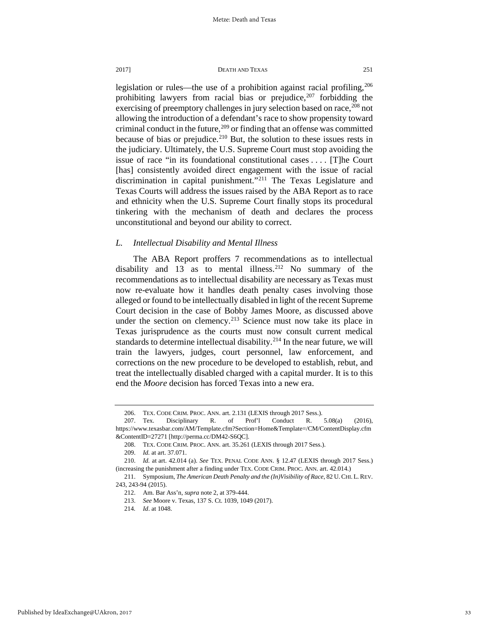legislation or rules—the use of a prohibition against racial profiling,<sup>206</sup> prohibiting lawyers from racial bias or prejudice,  $207$  forbidding the exercising of preemptory challenges in jury selection based on race,<sup>208</sup> not allowing the introduction of a defendant's race to show propensity toward criminal conduct in the future,  $209$  or finding that an offense was committed because of bias or prejudice.<sup>[210](#page-33-4)</sup> But, the solution to these issues rests in the judiciary. Ultimately, the U.S. Supreme Court must stop avoiding the issue of race "in its foundational constitutional cases . . . . [T]he Court [has] consistently avoided direct engagement with the issue of racial discrimination in capital punishment."<sup>[211](#page-33-5)</sup> The Texas Legislature and Texas Courts will address the issues raised by the ABA Report as to race and ethnicity when the U.S. Supreme Court finally stops its procedural tinkering with the mechanism of death and declares the process unconstitutional and beyond our ability to correct.

# *L. Intellectual Disability and Mental Illness*

The ABA Report proffers 7 recommendations as to intellectual disability and  $13$  as to mental illness.<sup>212</sup> No summary of the recommendations as to intellectual disability are necessary as Texas must now re-evaluate how it handles death penalty cases involving those alleged or found to be intellectually disabled in light of the recent Supreme Court decision in the case of Bobby James Moore, as discussed above under the section on clemency.<sup>[213](#page-33-7)</sup> Science must now take its place in Texas jurisprudence as the courts must now consult current medical standards to determine intellectual disability.<sup>[214](#page-33-8)</sup> In the near future, we will train the lawyers, judges, court personnel, law enforcement, and corrections on the new procedure to be developed to establish, rebut, and treat the intellectually disabled charged with a capital murder. It is to this end the *Moore* decision has forced Texas into a new era.

<sup>206.</sup> TEX. CODE CRIM. PROC. ANN. art. 2.131 (LEXIS through 2017 Sess.).

<span id="page-33-1"></span><span id="page-33-0"></span><sup>207.</sup> Tex. Disciplinary R. of Prof'l Conduct R. 5.08(a) (2016), https://www.texasbar.com/AM/Template.cfm?Section=Home&Template=/CM/ContentDisplay.cfm &ContentID=27271 [http://perma.cc/DM42-S6QC].

<sup>208.</sup> TEX. CODE CRIM. PROC. ANN. art. 35.261 (LEXIS through 2017 Sess.).

<sup>209.</sup> *Id.* at art. 37.071.

<span id="page-33-4"></span><span id="page-33-3"></span><span id="page-33-2"></span><sup>210.</sup> *Id.* at art. 42.014 (a). *See* TEX. PENAL CODE ANN. § 12.47 (LEXIS through 2017 Sess.) (increasing the punishment after a finding under TEX. CODE CRIM. PROC. ANN. art. 42.014.)

<span id="page-33-8"></span><span id="page-33-7"></span><span id="page-33-6"></span><span id="page-33-5"></span><sup>211.</sup> Symposium, *The American Death Penalty and the (In)Visibility of Race*, 82 U. CHI. L. REV. 243, 243-94 (2015).

<sup>212.</sup> Am. Bar Ass'n*, supra* note 2, at 379-444.

<sup>213.</sup> *See* Moore v. Texas*,* 137 S. Ct. 1039, 1049 (2017).

<sup>214</sup>*. Id*. at 1048.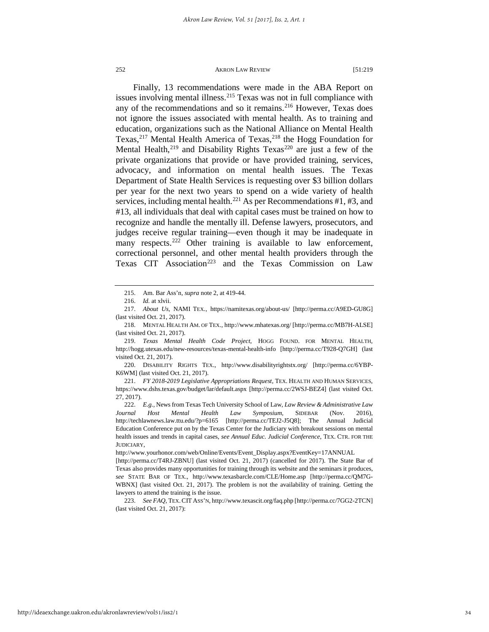Finally, 13 recommendations were made in the ABA Report on issues involving mental illness.<sup>[215](#page-34-0)</sup> Texas was not in full compliance with any of the recommendations and so it remains. $^{216}$  However, Texas does not ignore the issues associated with mental health. As to training and education, organizations such as the National Alliance on Mental Health Texas,<sup>217</sup> Mental Health America of Texas,<sup>[218](#page-34-3)</sup> the Hogg Foundation for Mental Health, $2^{19}$  and Disability Rights Texas<sup>[220](#page-34-5)</sup> are just a few of the private organizations that provide or have provided training, services, advocacy, and information on mental health issues. The Texas Department of State Health Services is requesting over \$3 billion dollars per year for the next two years to spend on a wide variety of health services, including mental health.<sup>221</sup> As per Recommendations  $#1, #3$ , and #13, all individuals that deal with capital cases must be trained on how to recognize and handle the mentally ill. Defense lawyers, prosecutors, and judges receive regular training—even though it may be inadequate in many respects.<sup>[222](#page-34-7)</sup> Other training is available to law enforcement, correctional personnel, and other mental health providers through the Texas CIT Association<sup>[223](#page-34-8)</sup> and the Texas Commission on Law

<span id="page-34-5"></span>220. DISABILITY RIGHTS TEX., http://www.disabilityrightstx.org/ [http://perma.cc/6YBP-K6WM] (last visited Oct. 21, 2017).

<span id="page-34-6"></span>221. *FY 2018-2019 Legislative Appropriations Request,* TEX. HEALTH AND HUMAN SERVICES, https://www.dshs.texas.gov/budget/lar/default.aspx [http://perma.cc/2WSJ-BEZ4] (last visited Oct. 27, 2017).

http://www.yourhonor.com/web/Online/Events/Event\_Display.aspx?EventKey=17ANNUAL

<sup>215.</sup> Am. Bar Ass'n*, supra* note 2, at 419-44.

<sup>216.</sup> *Id.* at xlvii.

<span id="page-34-2"></span><span id="page-34-1"></span><span id="page-34-0"></span><sup>217.</sup> *About Us*, NAMI TEX., https://namitexas.org/about-us/ [http://perma.cc/A9ED-GU8G] (last visited Oct. 21, 2017).

<span id="page-34-3"></span><sup>218.</sup> MENTAL HEALTH AM. OF TEX., http://www.mhatexas.org/ [http://perma.cc/MB7H-ALSE] (last visited Oct. 21, 2017).

<span id="page-34-4"></span><sup>219.</sup> *Texas Mental Health Code Project*, HOGG FOUND. FOR MENTAL HEALTH, http://hogg.utexas.edu/new-resources/texas-mental-health-info [http://perma.cc/T928-Q7GH] (last visited Oct. 21, 2017).

<span id="page-34-7"></span><sup>222.</sup> *E.g.,* News from Texas Tech University School of Law, *Law Review & Administrative Law Journal Host Mental Health Law Symposium*, SIDEBAR (Nov. 2016)*,* http://techlawnews.law.ttu.edu/?p=6165 [http://perma.cc/TEJ2-J5Q8]; The Annual Judicial Education Conference put on by the Texas Center for the Judiciary with breakout sessions on mental health issues and trends in capital cases, *see Annual Educ. Judicial Conference*, TEX. CTR. FOR THE JUDICIARY,

<sup>[</sup>http://perma.cc/T4RJ-ZBNU] (last visited Oct. 21, 2017) (cancelled for 2017). The State Bar of Texas also provides many opportunities for training through its website and the seminars it produces, *see* STATE BAR OF TEX., http://www.texasbarcle.com/CLE/Home.asp [http://perma.cc/QM7G-WBNX] (last visited Oct. 21, 2017). The problem is not the availability of training. Getting the lawyers to attend the training is the issue.

<span id="page-34-8"></span><sup>223.</sup> *See FAQ,* TEX.CIT ASS'N, http://www.texascit.org/faq.php [http://perma.cc/7GG2-2TCN] (last visited Oct. 21, 2017):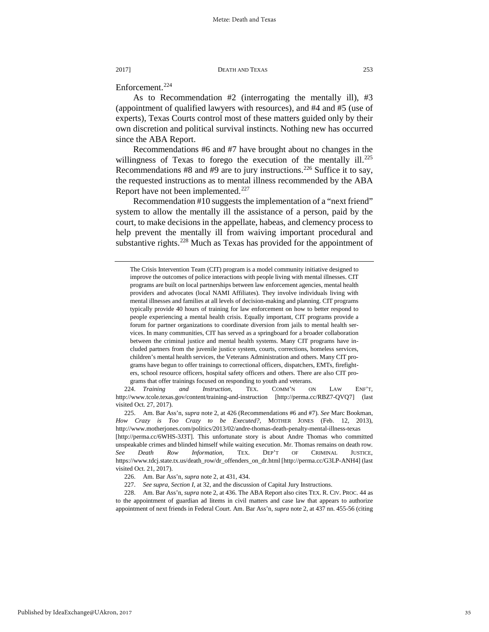Enforcement.<sup>[224](#page-35-0)</sup>

As to Recommendation #2 (interrogating the mentally ill), #3 (appointment of qualified lawyers with resources), and #4 and #5 (use of experts), Texas Courts control most of these matters guided only by their own discretion and political survival instincts. Nothing new has occurred since the ABA Report.

Recommendations #6 and #7 have brought about no changes in the willingness of Texas to forego the execution of the mentally ill.<sup>225</sup> Recommendations #8 and #9 are to jury instructions.<sup>226</sup> Suffice it to say, the requested instructions as to mental illness recommended by the ABA Report have not been implemented.<sup>[227](#page-35-3)</sup>

Recommendation #10 suggests the implementation of a "next friend" system to allow the mentally ill the assistance of a person, paid by the court, to make decisions in the appellate, habeas, and clemency process to help prevent the mentally ill from waiving important procedural and substantive rights.<sup>[228](#page-35-4)</sup> Much as Texas has provided for the appointment of

The Crisis Intervention Team (CIT) program is a model community initiative designed to improve the outcomes of police interactions with people living with mental illnesses. CIT programs are built on local partnerships between law enforcement agencies, mental health providers and advocates (local NAMI Affiliates). They involve individuals living with mental illnesses and families at all levels of decision-making and planning. CIT programs typically provide 40 hours of training for law enforcement on how to better respond to people experiencing a mental health crisis. Equally important, CIT programs provide a forum for partner organizations to coordinate diversion from jails to mental health services. In many communities, CIT has served as a springboard for a broader collaboration between the criminal justice and mental health systems. Many CIT programs have included partners from the juvenile justice system, courts, corrections, homeless services, children's mental health services, the Veterans Administration and others. Many CIT programs have begun to offer trainings to correctional officers, dispatchers, EMTs, firefighters, school resource officers, hospital safety officers and others. There are also CIT programs that offer trainings focused on responding to youth and veterans.

<span id="page-35-0"></span><sup>224.</sup> *Training and Instruction*, TEX. COMM'N ON LAW ENF'T, http://www.tcole.texas.gov/content/training-and-instruction [http://perma.cc/RBZ7-QVQ7] (last visited Oct. 27, 2017).

<span id="page-35-1"></span><sup>225.</sup> Am. Bar Ass'n*, supra* note 2, at 426 (Recommendations #6 and #7). *See* Marc Bookman, *How Crazy is Too Crazy to be Executed?,* MOTHER JONES (Feb. 12, 2013), http://www.motherjones.com/politics/2013/02/andre-thomas-death-penalty-mental-illness-texas [http://perma.cc/6WHS-3J3T]. This unfortunate story is about Andre Thomas who committed unspeakable crimes and blinded himself while waiting execution. Mr. Thomas remains on death row. *See Death Row Information,* TEX. DEP'T OF CRIMINAL JUSTICE, https://www.tdcj.state.tx.us/death\_row/dr\_offenders\_on\_dr.html [http://perma.cc/G3LP-ANH4] (last visited Oct. 21, 2017).

<sup>226.</sup> Am. Bar Ass'n*, supra* note 2, at 431, 434.

<sup>227.</sup> *See supra, Section I*, at 32, and the discussion of Capital Jury Instructions.

<span id="page-35-4"></span><span id="page-35-3"></span><span id="page-35-2"></span><sup>228.</sup> Am. Bar Ass'n*, supra* note 2, at 436. The ABA Report also cites TEX. R. CIV. PROC. 44 as to the appointment of guardian ad litems in civil matters and case law that appears to authorize appointment of next friends in Federal Court. Am. Bar Ass'n*, supra* note 2, at 437 nn. 455-56 (citing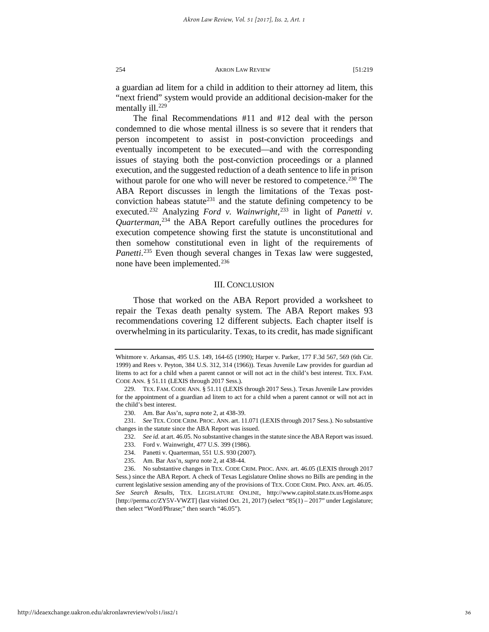a guardian ad litem for a child in addition to their attorney ad litem, this "next friend" system would provide an additional decision-maker for the mentally ill. $^{229}$  $^{229}$  $^{229}$ 

The final Recommendations #11 and #12 deal with the person condemned to die whose mental illness is so severe that it renders that person incompetent to assist in post-conviction proceedings and eventually incompetent to be executed—and with the corresponding issues of staying both the post-conviction proceedings or a planned execution, and the suggested reduction of a death sentence to life in prison without parole for one who will never be restored to competence.<sup>[230](#page-36-1)</sup> The ABA Report discusses in length the limitations of the Texas post-conviction habeas statute<sup>[231](#page-36-2)</sup> and the statute defining competency to be executed.<sup>[232](#page-36-3)</sup> Analyzing *Ford v. Wainwright*,<sup>[233](#page-36-4)</sup> in light of *Panetti v. Quarterman*, [234](#page-36-5) the ABA Report carefully outlines the procedures for execution competence showing first the statute is unconstitutional and then somehow constitutional even in light of the requirements of Panetti.<sup>[235](#page-36-6)</sup> Even though several changes in Texas law were suggested, none have been implemented.<sup>[236](#page-36-7)</sup>

# III. CONCLUSION

Those that worked on the ABA Report provided a worksheet to repair the Texas death penalty system. The ABA Report makes 93 recommendations covering 12 different subjects. Each chapter itself is overwhelming in its particularity. Texas, to its credit, has made significant

232. *See id.* at art. 46.05. No substantive changes in the statute since the ABA Report was issued.

Whitmore v. Arkansas, 495 U.S. 149, 164-65 (1990); Harper v. Parker*,* 177 F.3d 567, 569 (6th Cir. 1999) and Rees v. Peyton*,* 384 U.S. 312, 314 (1966)). Texas Juvenile Law provides for guardian ad litems to act for a child when a parent cannot or will not act in the child's best interest. TEX. FAM. CODE ANN. § 51.11 (LEXIS through 2017 Sess.).

<span id="page-36-0"></span><sup>229.</sup> TEX. FAM. CODE ANN. § 51.11 (LEXIS through 2017 Sess.). Texas Juvenile Law provides for the appointment of a guardian ad litem to act for a child when a parent cannot or will not act in the child's best interest.

<sup>230.</sup> Am. Bar Ass'n, *supra* note 2, at 438-39.

<span id="page-36-4"></span><span id="page-36-3"></span><span id="page-36-2"></span><span id="page-36-1"></span><sup>231.</sup> *See* TEX. CODE CRIM. PROC. ANN. art. 11.071 (LEXIS through 2017 Sess.). No substantive changes in the statute since the ABA Report was issued.

<sup>233.</sup> Ford v. Wainwright, 477 U.S. 399 (1986).

<sup>234.</sup> Panetti v. Quarterman, 551 U.S. 930 (2007).

<sup>235.</sup> Am. Bar Ass'n, *supra* note 2, at 438-44.

<span id="page-36-7"></span><span id="page-36-6"></span><span id="page-36-5"></span><sup>236.</sup> No substantive changes in TEX. CODE CRIM. PROC. ANN. art. 46.05 (LEXIS through 2017 Sess.) since the ABA Report. A check of Texas Legislature Online shows no Bills are pending in the current legislative session amending any of the provisions of TEX. CODE CRIM. PRO. ANN. art. 46.05. *See Search Results*, TEX. LEGISLATURE ONLINE, http://www.capitol.state.tx.us/Home.aspx [http://perma.cc/ZY5V-VWZT] (last visited Oct. 21, 2017) (select "85(1) – 2017" under Legislature; then select "Word/Phrase;" then search "46.05").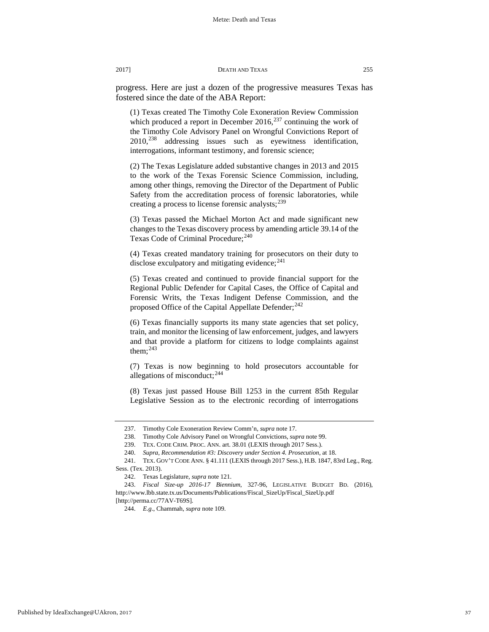progress. Here are just a dozen of the progressive measures Texas has fostered since the date of the ABA Report:

(1) Texas created The Timothy Cole Exoneration Review Commission which produced a report in December 2016, $^{237}$  $^{237}$  $^{237}$  continuing the work of the Timothy Cole Advisory Panel on Wrongful Convictions Report of 2010,[238](#page-37-1) addressing issues such as eyewitness identification, interrogations, informant testimony, and forensic science;

(2) The Texas Legislature added substantive changes in 2013 and 2015 to the work of the Texas Forensic Science Commission, including, among other things, removing the Director of the Department of Public Safety from the accreditation process of forensic laboratories, while creating a process to license forensic analysts;<sup>[239](#page-37-2)</sup>

(3) Texas passed the Michael Morton Act and made significant new changes to the Texas discovery process by amending article 39.14 of the Texas Code of Criminal Procedure;<sup>[240](#page-37-3)</sup>

(4) Texas created mandatory training for prosecutors on their duty to disclose exculpatory and mitigating evidence; $^{241}$  $^{241}$  $^{241}$ 

(5) Texas created and continued to provide financial support for the Regional Public Defender for Capital Cases, the Office of Capital and Forensic Writs, the Texas Indigent Defense Commission, and the proposed Office of the Capital Appellate Defender;<sup>[242](#page-37-5)</sup>

(6) Texas financially supports its many state agencies that set policy, train, and monitor the licensing of law enforcement, judges, and lawyers and that provide a platform for citizens to lodge complaints against them; $^{243}$  $^{243}$  $^{243}$ 

(7) Texas is now beginning to hold prosecutors accountable for allegations of misconduct;  $244$ 

(8) Texas just passed House Bill 1253 in the current 85th Regular Legislative Session as to the electronic recording of interrogations

<sup>237.</sup> Timothy Cole Exoneration Review Comm'n*, supra* note 17.

<sup>238.</sup> Timothy Cole Advisory Panel on Wrongful Convictions, *supra* note 99.

<sup>239.</sup> TEX. CODE CRIM. PROC. ANN. art. 38.01 (LEXIS through 2017 Sess.).

<sup>240.</sup> *Supra*, *Recommendation #3: Discovery under Section 4. Prosecution,* at 18.

<span id="page-37-4"></span><span id="page-37-3"></span><span id="page-37-2"></span><span id="page-37-1"></span><span id="page-37-0"></span><sup>241.</sup> TEX. GOV'T CODE ANN. § 41.111 (LEXIS through 2017 Sess.), H.B. 1847, 83rd Leg., Reg. Sess. (Tex. 2013).

<sup>242.</sup> Texas Legislature, *supra* note 121.

<span id="page-37-7"></span><span id="page-37-6"></span><span id="page-37-5"></span><sup>243.</sup> *Fiscal Size-up 2016-17 Biennium*, 327-96, LEGISLATIVE BUDGET BD. (2016), http://www.lbb.state.tx.us/Documents/Publications/Fiscal\_SizeUp/Fiscal\_SizeUp.pdf [http://perma.cc/77AV-T69S]*.*

<sup>244.</sup> *E.g*., Chammah*, supra* note 109.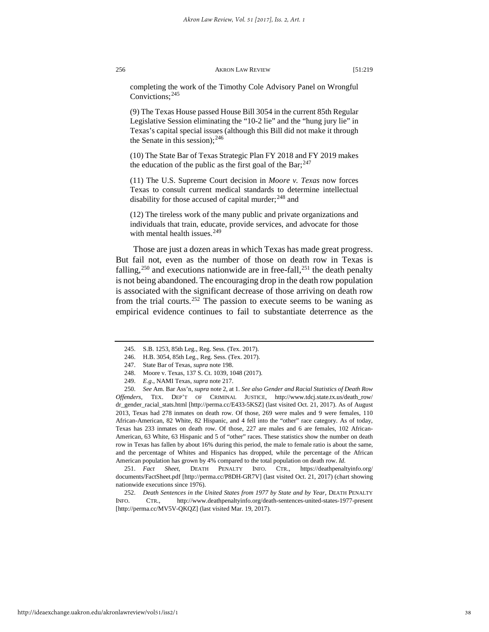completing the work of the Timothy Cole Advisory Panel on Wrongful Convictions;[245](#page-38-0)

(9) The Texas House passed House Bill 3054 in the current 85th Regular Legislative Session eliminating the "10-2 lie" and the "hung jury lie" in Texas's capital special issues (although this Bill did not make it through the Senate in this session);  $246$ 

(10) The State Bar of Texas Strategic Plan FY 2018 and FY 2019 makes the education of the public as the first goal of the Bar;  $247$ 

(11) The U.S. Supreme Court decision in *Moore v. Texas* now forces Texas to consult current medical standards to determine intellectual disability for those accused of capital murder;<sup>[248](#page-38-3)</sup> and

(12) The tireless work of the many public and private organizations and individuals that train, educate, provide services, and advocate for those with mental health issues. $249$ 

Those are just a dozen areas in which Texas has made great progress. But fail not, even as the number of those on death row in Texas is falling,<sup>[250](#page-38-5)</sup> and executions nationwide are in free-fall,<sup>[251](#page-38-6)</sup> the death penalty is not being abandoned. The encouraging drop in the death row population is associated with the significant decrease of those arriving on death row from the trial courts.<sup>[252](#page-38-7)</sup> The passion to execute seems to be waning as empirical evidence continues to fail to substantiate deterrence as the

<span id="page-38-6"></span>251. *Fact Sheet*, DEATH PENALTY INFO. CTR., https://deathpenaltyinfo.org/ documents/FactSheet.pdf [http://perma.cc/P8DH-GR7V] (last visited Oct. 21, 2017) (chart showing nationwide executions since 1976).

<span id="page-38-7"></span>252. *Death Sentences in the United States from 1977 by State and by Year*, DEATH PENALTY INFO. CTR., http://www.deathpenaltyinfo.org/death-sentences-united-states-1977-present [http://perma.cc/MV5V-QKQZ] (last visited Mar. 19, 2017).

<sup>245.</sup> S.B. 1253, 85th Leg., Reg. Sess. (Tex. 2017).

<sup>246.</sup> H.B. 3054, 85th Leg., Reg. Sess. (Tex. 2017).

<sup>247.</sup> State Bar of Texas*, supra* note 198.

<sup>248.</sup> Moore v. Texas*,* 137 S. Ct. 1039, 1048 (2017).

<sup>249.</sup> *E.g*., NAMI Texas*, supra* note 217.

<span id="page-38-5"></span><span id="page-38-4"></span><span id="page-38-3"></span><span id="page-38-2"></span><span id="page-38-1"></span><span id="page-38-0"></span><sup>250.</sup> *See* Am. Bar Ass'n, *supra* note 2, at 1. *See also Gender and Racial Statistics of Death Row Offenders*, TEX. DEP'T OF CRIMINAL JUSTICE, http://www.tdcj.state.tx.us/death\_row/ dr\_gender\_racial\_stats.html [http://perma.cc/E433-5KSZ] (last visited Oct. 21, 2017). As of August 2013, Texas had 278 inmates on death row. Of those, 269 were males and 9 were females, 110 African-American, 82 White, 82 Hispanic, and 4 fell into the "other" race category. As of today, Texas has 233 inmates on death row. Of those, 227 are males and 6 are females, 102 African-American, 63 White, 63 Hispanic and 5 of "other" races. These statistics show the number on death row in Texas has fallen by about 16% during this period, the male to female ratio is about the same, and the percentage of Whites and Hispanics has dropped, while the percentage of the African American population has grown by 4% compared to the total population on death row. *Id.*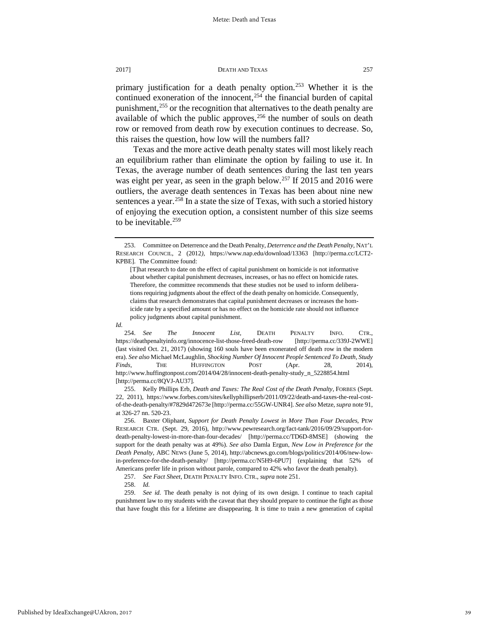primary justification for a death penalty option.<sup>[253](#page-39-0)</sup> Whether it is the continued exoneration of the innocent, $254$  the financial burden of capital punishment,<sup>[255](#page-39-2)</sup> or the recognition that alternatives to the death penalty are available of which the public approves, $256$  the number of souls on death row or removed from death row by execution continues to decrease. So, this raises the question, how low will the numbers fall?

Texas and the more active death penalty states will most likely reach an equilibrium rather than eliminate the option by failing to use it. In Texas, the average number of death sentences during the last ten years was eight per year, as seen in the graph below.<sup>[257](#page-39-4)</sup> If 2015 and 2016 were outliers, the average death sentences in Texas has been about nine new sentences a year.<sup>[258](#page-39-5)</sup> In a state the size of Texas, with such a storied history of enjoying the execution option, a consistent number of this size seems to be inevitable.<sup>[259](#page-39-6)</sup>

*Id.*

<span id="page-39-1"></span>254. *See The Innocent List*, DEATH PENALTY INFO. CTR., https://deathpenaltyinfo.org/innocence-list-those-freed-death-row [http://perma.cc/339J-2WWE] (last visited Oct. 21, 2017) (showing 160 souls have been exonerated off death row in the modern era). *See also* Michael McLaughlin, *Shocking Number Of Innocent People Sentenced To Death, Study Finds,* THE HUFFINGTON POST (Apr. 28, 2014), http://www.huffingtonpost.com/2014/04/28/innocent-death-penalty-study\_n\_5228854.html [http://perma.cc/8QVJ-AU37]*.*

<span id="page-39-2"></span>255. Kelly Phillips Erb, *Death and Taxes: The Real Cost of the Death Penalty,* FORBES (Sept. 22, 2011), https://www.forbes.com/sites/kellyphillipserb/2011/09/22/death-and-taxes-the-real-costof-the-death-penalty/#7829d472673e [http://perma.cc/55GW-UNR4]. *See also* Metze, *supra* note 91, at 326-27 nn. 520-23.

<span id="page-39-3"></span>256. Baxter Oliphant, *Support for Death Penalty Lowest in More Than Four Decades*, PEW RESEARCH CTR. (Sept. 29, 2016), http://www.pewresearch.org/fact-tank/2016/09/29/support-fordeath-penalty-lowest-in-more-than-four-decades/ [http://perma.cc/TD6D-8MSE] (showing the support for the death penalty was at 49%). *See also* Damla Ergun, *New Low in Preference for the Death Penalty,* ABC NEWS (June 5, 2014), http://abcnews.go.com/blogs/politics/2014/06/new-lowin-preference-for-the-death-penalty/ [http://perma.cc/N5H9-6PU7] (explaining that 52% of Americans prefer life in prison without parole, compared to 42% who favor the death penalty).

257. *See Fact Sheet*, DEATH PENALTY INFO. CTR., *supra* note 251.

258. *Id.*

<span id="page-39-6"></span><span id="page-39-5"></span><span id="page-39-4"></span>259. *See id.* The death penalty is not dying of its own design. I continue to teach capital punishment law to my students with the caveat that they should prepare to continue the fight as those that have fought this for a lifetime are disappearing. It is time to train a new generation of capital

<span id="page-39-0"></span><sup>253.</sup> Committee on Deterrence and the Death Penalty, *Deterrence and the Death Penalty,* NAT'L RESEARCH COUNCIL, 2 (2012*),* https://www.nap.edu/download/13363 [http://perma.cc/LCT2- KPBE]*.* The Committee found:

<sup>[</sup>T]hat research to date on the effect of capital punishment on homicide is not informative about whether capital punishment decreases, increases, or has no effect on homicide rates. Therefore, the committee recommends that these studies not be used to inform deliberations requiring judgments about the effect of the death penalty on homicide. Consequently, claims that research demonstrates that capital punishment decreases or increases the homicide rate by a specified amount or has no effect on the homicide rate should not influence policy judgments about capital punishment.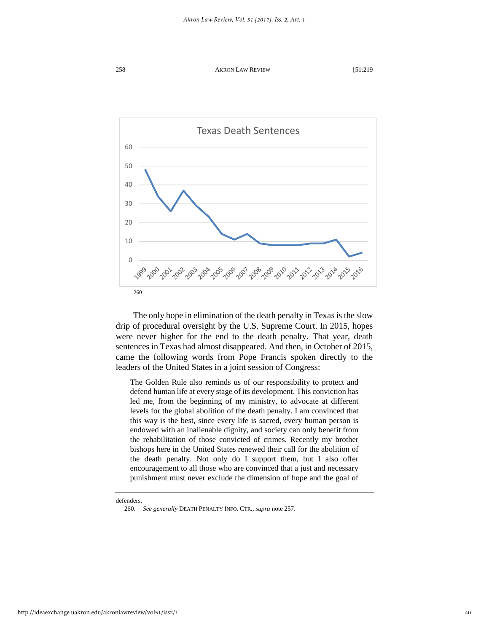

The only hope in elimination of the death penalty in Texas is the slow drip of procedural oversight by the U.S. Supreme Court. In 2015, hopes were never higher for the end to the death penalty. That year, death sentences in Texas had almost disappeared. And then, in October of 2015, came the following words from Pope Francis spoken directly to the leaders of the United States in a joint session of Congress:

The Golden Rule also reminds us of our responsibility to protect and defend human life at every stage of its development. This conviction has led me, from the beginning of my ministry, to advocate at different levels for the global abolition of the death penalty. I am convinced that this way is the best, since every life is sacred, every human person is endowed with an inalienable dignity, and society can only benefit from the rehabilitation of those convicted of crimes. Recently my brother bishops here in the United States renewed their call for the abolition of the death penalty. Not only do I support them, but I also offer encouragement to all those who are convinced that a just and necessary punishment must never exclude the dimension of hope and the goal of

<span id="page-40-0"></span>defenders.

<sup>260.</sup> *See generally* DEATH PENALTY INFO. CTR., *supra* note 257.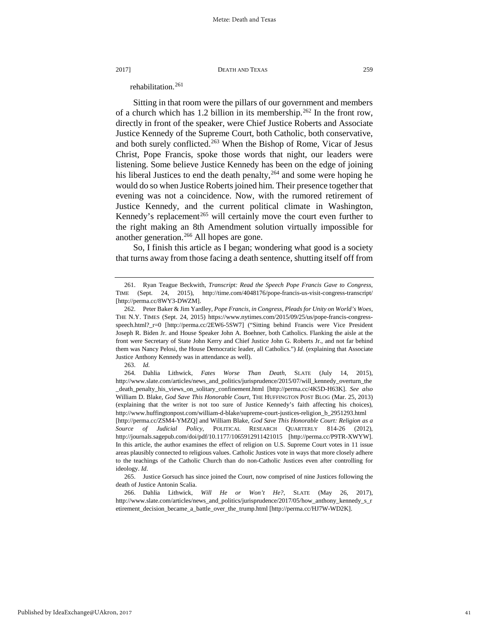rehabilitation.<sup>[261](#page-41-0)</sup>

Sitting in that room were the pillars of our government and members of a church which has 1.2 billion in its membership.<sup>[262](#page-41-1)</sup> In the front row, directly in front of the speaker, were Chief Justice Roberts and Associate Justice Kennedy of the Supreme Court, both Catholic, both conservative, and both surely conflicted.<sup>[263](#page-41-2)</sup> When the Bishop of Rome, Vicar of Jesus Christ, Pope Francis, spoke those words that night, our leaders were listening. Some believe Justice Kennedy has been on the edge of joining his liberal Justices to end the death penalty,  $264$  and some were hoping he would do so when Justice Roberts joined him. Their presence together that evening was not a coincidence. Now, with the rumored retirement of Justice Kennedy, and the current political climate in Washington, Kennedy's replacement<sup>[265](#page-41-4)</sup> will certainly move the court even further to the right making an 8th Amendment solution virtually impossible for another generation.<sup>266</sup> All hopes are gone.

So, I finish this article as I began; wondering what good is a society that turns away from those facing a death sentence, shutting itself off from

<span id="page-41-0"></span><sup>261.</sup> Ryan Teague Beckwith, *Transcript: Read the Speech Pope Francis Gave to Congress*, TIME (Sept. 24, 2015), http://time.com/4048176/pope-francis-us-visit-congress-transcript/ [http://perma.cc/8WY3-DWZM].

<span id="page-41-1"></span><sup>262.</sup> Peter Baker & Jim Yardley, *Pope Francis, in Congress, Pleads for Unity on World's Woes*, THE N.Y. TIMES (Sept. 24, 2015) https://www.nytimes.com/2015/09/25/us/pope-francis-congressspeech.html?\_r=0 [http://perma.cc/2EW6-5SW7] ("Sitting behind Francis were Vice President Joseph R. Biden Jr. and House Speaker John A. Boehner, both Catholics. Flanking the aisle at the front were Secretary of State John Kerry and Chief Justice John G. Roberts Jr., and not far behind them was Nancy Pelosi, the House Democratic leader, all Catholics.") *Id.* (explaining that Associate Justice Anthony Kennedy was in attendance as well).

<sup>263.</sup> *Id.*

<span id="page-41-3"></span><span id="page-41-2"></span><sup>264.</sup> Dahlia Lithwick*, Fates Worse Than Death,* SLATE (July 14, 2015), http://www.slate.com/articles/news\_and\_politics/jurisprudence/2015/07/will\_kennedy\_overturn\_the \_death\_penalty\_his\_views\_on\_solitary\_confinement.html [http://perma.cc/4K5D-H63K]. *See also* William D. Blake*, God Save This Honorable Court*, THE HUFFINGTON POST BLOG (Mar. 25, 2013) (explaining that the writer is not too sure of Justice Kennedy's faith affecting his choices), http://www.huffingtonpost.com/william-d-blake/supreme-court-justices-religion\_b\_2951293.html

<sup>[</sup>http://perma.cc/ZSM4-YMZQ] and William Blake, *God Save This Honorable Court: Religion as a Source of Judicial Policy*, POLITICAL RESEARCH QUARTERLY 814-26 (2012), http://journals.sagepub.com/doi/pdf/10.1177/1065912911421015 [http://perma.cc/P9TR-XWYW]. In this article, the author examines the effect of religion on U.S. Supreme Court votes in 11 issue areas plausibly connected to religious values. Catholic Justices vote in ways that more closely adhere to the teachings of the Catholic Church than do non-Catholic Justices even after controlling for ideology. *Id*.

<span id="page-41-4"></span><sup>265.</sup> Justice Gorsuch has since joined the Court, now comprised of nine Justices following the death of Justice Antonin Scalia.

<span id="page-41-5"></span><sup>266.</sup> Dahlia Lithwick, *Will He or Won't He?,* SLATE (May 26, 2017), http://www.slate.com/articles/news\_and\_politics/jurisprudence/2017/05/how\_anthony\_kennedy\_s\_r etirement\_decision\_became\_a\_battle\_over\_the\_trump.html [http://perma.cc/HJ7W-WD2K].